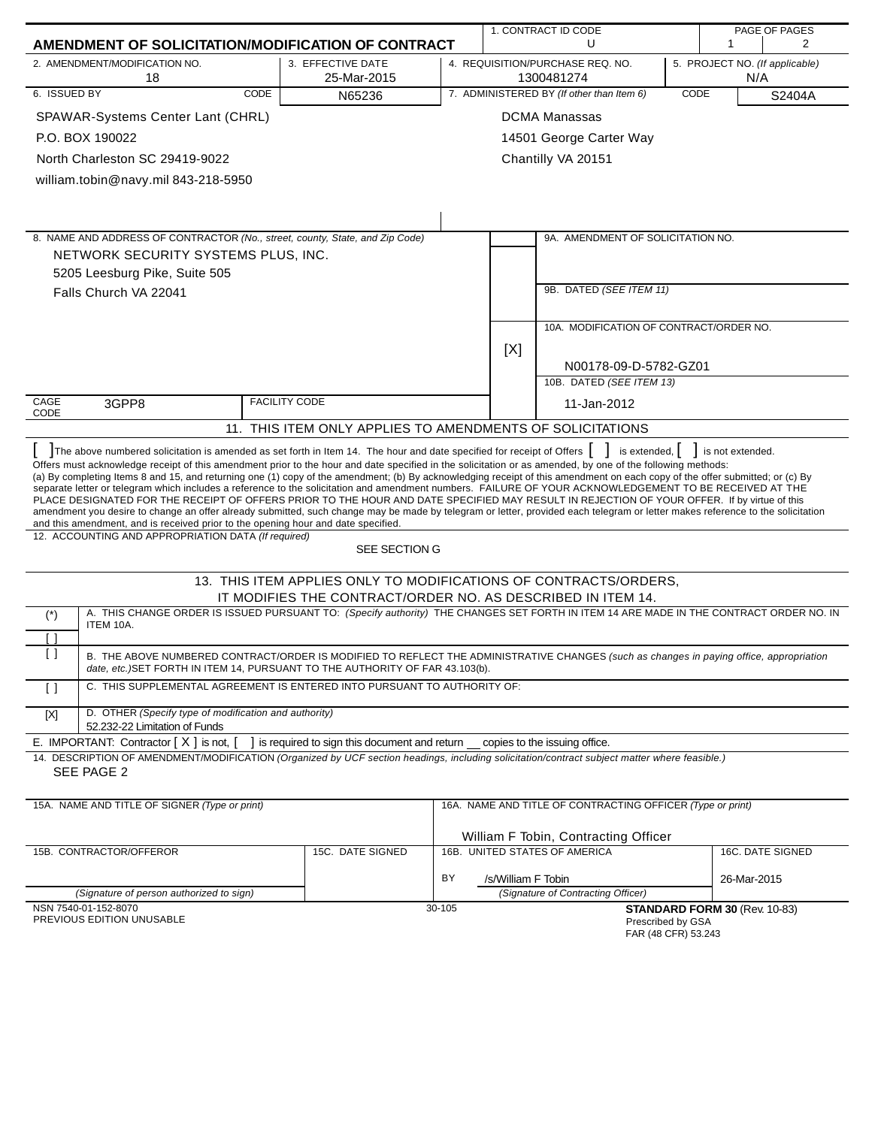|                         | AMENDMENT OF SOLICITATION/MODIFICATION OF CONTRACT                                                                                                                                                                                                                                                                                                                                                                                                                                                                                                                                                                                                                                                                                                                                                                                                                                                                                                                                                                                                                                                                                                            |                                                                                                                                 | 1. CONTRACT ID CODE<br>U<br>1                                      |                                                                |                                                                       |      | PAGE OF PAGES<br>$\overline{2}$ |                  |  |
|-------------------------|---------------------------------------------------------------------------------------------------------------------------------------------------------------------------------------------------------------------------------------------------------------------------------------------------------------------------------------------------------------------------------------------------------------------------------------------------------------------------------------------------------------------------------------------------------------------------------------------------------------------------------------------------------------------------------------------------------------------------------------------------------------------------------------------------------------------------------------------------------------------------------------------------------------------------------------------------------------------------------------------------------------------------------------------------------------------------------------------------------------------------------------------------------------|---------------------------------------------------------------------------------------------------------------------------------|--------------------------------------------------------------------|----------------------------------------------------------------|-----------------------------------------------------------------------|------|---------------------------------|------------------|--|
|                         | 2. AMENDMENT/MODIFICATION NO.                                                                                                                                                                                                                                                                                                                                                                                                                                                                                                                                                                                                                                                                                                                                                                                                                                                                                                                                                                                                                                                                                                                                 | 3. EFFECTIVE DATE                                                                                                               | 4. REQUISITION/PURCHASE REQ. NO.<br>5. PROJECT NO. (If applicable) |                                                                |                                                                       |      |                                 |                  |  |
|                         | 18                                                                                                                                                                                                                                                                                                                                                                                                                                                                                                                                                                                                                                                                                                                                                                                                                                                                                                                                                                                                                                                                                                                                                            | 25-Mar-2015                                                                                                                     |                                                                    | 1300481274<br>N/A<br>7. ADMINISTERED BY (If other than Item 6) |                                                                       |      |                                 |                  |  |
| 6. ISSUED BY            | CODE                                                                                                                                                                                                                                                                                                                                                                                                                                                                                                                                                                                                                                                                                                                                                                                                                                                                                                                                                                                                                                                                                                                                                          | N65236                                                                                                                          |                                                                    |                                                                |                                                                       | CODE |                                 | S2404A           |  |
|                         | SPAWAR-Systems Center Lant (CHRL)                                                                                                                                                                                                                                                                                                                                                                                                                                                                                                                                                                                                                                                                                                                                                                                                                                                                                                                                                                                                                                                                                                                             |                                                                                                                                 |                                                                    |                                                                | <b>DCMA Manassas</b>                                                  |      |                                 |                  |  |
|                         | P.O. BOX 190022                                                                                                                                                                                                                                                                                                                                                                                                                                                                                                                                                                                                                                                                                                                                                                                                                                                                                                                                                                                                                                                                                                                                               |                                                                                                                                 |                                                                    |                                                                | 14501 George Carter Way                                               |      |                                 |                  |  |
|                         | North Charleston SC 29419-9022                                                                                                                                                                                                                                                                                                                                                                                                                                                                                                                                                                                                                                                                                                                                                                                                                                                                                                                                                                                                                                                                                                                                |                                                                                                                                 |                                                                    |                                                                | Chantilly VA 20151                                                    |      |                                 |                  |  |
|                         | william.tobin@navy.mil 843-218-5950                                                                                                                                                                                                                                                                                                                                                                                                                                                                                                                                                                                                                                                                                                                                                                                                                                                                                                                                                                                                                                                                                                                           |                                                                                                                                 |                                                                    |                                                                |                                                                       |      |                                 |                  |  |
|                         |                                                                                                                                                                                                                                                                                                                                                                                                                                                                                                                                                                                                                                                                                                                                                                                                                                                                                                                                                                                                                                                                                                                                                               |                                                                                                                                 |                                                                    |                                                                |                                                                       |      |                                 |                  |  |
|                         |                                                                                                                                                                                                                                                                                                                                                                                                                                                                                                                                                                                                                                                                                                                                                                                                                                                                                                                                                                                                                                                                                                                                                               |                                                                                                                                 |                                                                    |                                                                |                                                                       |      |                                 |                  |  |
|                         | 8. NAME AND ADDRESS OF CONTRACTOR (No., street, county, State, and Zip Code)<br>NETWORK SECURITY SYSTEMS PLUS, INC.                                                                                                                                                                                                                                                                                                                                                                                                                                                                                                                                                                                                                                                                                                                                                                                                                                                                                                                                                                                                                                           |                                                                                                                                 |                                                                    |                                                                | 9A. AMENDMENT OF SOLICITATION NO.                                     |      |                                 |                  |  |
|                         | 5205 Leesburg Pike, Suite 505                                                                                                                                                                                                                                                                                                                                                                                                                                                                                                                                                                                                                                                                                                                                                                                                                                                                                                                                                                                                                                                                                                                                 |                                                                                                                                 |                                                                    |                                                                |                                                                       |      |                                 |                  |  |
|                         | Falls Church VA 22041                                                                                                                                                                                                                                                                                                                                                                                                                                                                                                                                                                                                                                                                                                                                                                                                                                                                                                                                                                                                                                                                                                                                         |                                                                                                                                 |                                                                    |                                                                | 9B. DATED (SEE ITEM 11)                                               |      |                                 |                  |  |
|                         |                                                                                                                                                                                                                                                                                                                                                                                                                                                                                                                                                                                                                                                                                                                                                                                                                                                                                                                                                                                                                                                                                                                                                               |                                                                                                                                 |                                                                    |                                                                |                                                                       |      |                                 |                  |  |
|                         |                                                                                                                                                                                                                                                                                                                                                                                                                                                                                                                                                                                                                                                                                                                                                                                                                                                                                                                                                                                                                                                                                                                                                               |                                                                                                                                 |                                                                    |                                                                | 10A. MODIFICATION OF CONTRACT/ORDER NO.                               |      |                                 |                  |  |
|                         |                                                                                                                                                                                                                                                                                                                                                                                                                                                                                                                                                                                                                                                                                                                                                                                                                                                                                                                                                                                                                                                                                                                                                               |                                                                                                                                 |                                                                    | [X]                                                            |                                                                       |      |                                 |                  |  |
|                         |                                                                                                                                                                                                                                                                                                                                                                                                                                                                                                                                                                                                                                                                                                                                                                                                                                                                                                                                                                                                                                                                                                                                                               |                                                                                                                                 |                                                                    |                                                                | N00178-09-D-5782-GZ01                                                 |      |                                 |                  |  |
|                         |                                                                                                                                                                                                                                                                                                                                                                                                                                                                                                                                                                                                                                                                                                                                                                                                                                                                                                                                                                                                                                                                                                                                                               |                                                                                                                                 |                                                                    |                                                                | 10B. DATED (SEE ITEM 13)                                              |      |                                 |                  |  |
| CAGE<br>CODE            | 3GPP8                                                                                                                                                                                                                                                                                                                                                                                                                                                                                                                                                                                                                                                                                                                                                                                                                                                                                                                                                                                                                                                                                                                                                         | <b>FACILITY CODE</b>                                                                                                            |                                                                    |                                                                | 11-Jan-2012                                                           |      |                                 |                  |  |
|                         | 11. THIS ITEM ONLY APPLIES TO AMENDMENTS OF SOLICITATIONS                                                                                                                                                                                                                                                                                                                                                                                                                                                                                                                                                                                                                                                                                                                                                                                                                                                                                                                                                                                                                                                                                                     |                                                                                                                                 |                                                                    |                                                                |                                                                       |      |                                 |                  |  |
|                         | The above numbered solicitation is amended as set forth in Item 14. The hour and date specified for receipt of Offers []<br>is extended, $\vert \vert$ is not extended.<br>Offers must acknowledge receipt of this amendment prior to the hour and date specified in the solicitation or as amended, by one of the following methods:<br>(a) By completing Items 8 and 15, and returning one (1) copy of the amendment; (b) By acknowledging receipt of this amendment on each copy of the offer submitted; or (c) By<br>separate letter or telegram which includes a reference to the solicitation and amendment numbers. FAILURE OF YOUR ACKNOWLEDGEMENT TO BE RECEIVED AT THE<br>PLACE DESIGNATED FOR THE RECEIPT OF OFFERS PRIOR TO THE HOUR AND DATE SPECIFIED MAY RESULT IN REJECTION OF YOUR OFFER. If by virtue of this<br>amendment you desire to change an offer already submitted, such change may be made by telegram or letter, provided each telegram or letter makes reference to the solicitation<br>and this amendment, and is received prior to the opening hour and date specified.<br>12. ACCOUNTING AND APPROPRIATION DATA (If required) |                                                                                                                                 |                                                                    |                                                                |                                                                       |      |                                 |                  |  |
|                         |                                                                                                                                                                                                                                                                                                                                                                                                                                                                                                                                                                                                                                                                                                                                                                                                                                                                                                                                                                                                                                                                                                                                                               | SEE SECTION G                                                                                                                   |                                                                    |                                                                |                                                                       |      |                                 |                  |  |
|                         |                                                                                                                                                                                                                                                                                                                                                                                                                                                                                                                                                                                                                                                                                                                                                                                                                                                                                                                                                                                                                                                                                                                                                               | 13. THIS ITEM APPLIES ONLY TO MODIFICATIONS OF CONTRACTS/ORDERS,<br>IT MODIFIES THE CONTRACT/ORDER NO. AS DESCRIBED IN ITEM 14. |                                                                    |                                                                |                                                                       |      |                                 |                  |  |
| $(\dot{\phantom{a}})$   | A. THIS CHANGE ORDER IS ISSUED PURSUANT TO: (Specify authority) THE CHANGES SET FORTH IN ITEM 14 ARE MADE IN THE CONTRACT ORDER NO. IN                                                                                                                                                                                                                                                                                                                                                                                                                                                                                                                                                                                                                                                                                                                                                                                                                                                                                                                                                                                                                        |                                                                                                                                 |                                                                    |                                                                |                                                                       |      |                                 |                  |  |
|                         | ITEM 10A.                                                                                                                                                                                                                                                                                                                                                                                                                                                                                                                                                                                                                                                                                                                                                                                                                                                                                                                                                                                                                                                                                                                                                     |                                                                                                                                 |                                                                    |                                                                |                                                                       |      |                                 |                  |  |
| H<br>$\left[ \ \right]$ | B. THE ABOVE NUMBERED CONTRACT/ORDER IS MODIFIED TO REFLECT THE ADMINISTRATIVE CHANGES (such as changes in paying office, appropriation                                                                                                                                                                                                                                                                                                                                                                                                                                                                                                                                                                                                                                                                                                                                                                                                                                                                                                                                                                                                                       |                                                                                                                                 |                                                                    |                                                                |                                                                       |      |                                 |                  |  |
| $\lceil$ $\rceil$       | date, etc.) SET FORTH IN ITEM 14, PURSUANT TO THE AUTHORITY OF FAR 43.103(b).<br>C. THIS SUPPLEMENTAL AGREEMENT IS ENTERED INTO PURSUANT TO AUTHORITY OF:                                                                                                                                                                                                                                                                                                                                                                                                                                                                                                                                                                                                                                                                                                                                                                                                                                                                                                                                                                                                     |                                                                                                                                 |                                                                    |                                                                |                                                                       |      |                                 |                  |  |
|                         | D. OTHER (Specify type of modification and authority)                                                                                                                                                                                                                                                                                                                                                                                                                                                                                                                                                                                                                                                                                                                                                                                                                                                                                                                                                                                                                                                                                                         |                                                                                                                                 |                                                                    |                                                                |                                                                       |      |                                 |                  |  |
| [X]                     | 52.232-22 Limitation of Funds                                                                                                                                                                                                                                                                                                                                                                                                                                                                                                                                                                                                                                                                                                                                                                                                                                                                                                                                                                                                                                                                                                                                 |                                                                                                                                 |                                                                    |                                                                |                                                                       |      |                                 |                  |  |
|                         | E. IMPORTANT: Contractor $[X]$ is not, $[$                                                                                                                                                                                                                                                                                                                                                                                                                                                                                                                                                                                                                                                                                                                                                                                                                                                                                                                                                                                                                                                                                                                    | ] is required to sign this document and return __ copies to the issuing office.                                                 |                                                                    |                                                                |                                                                       |      |                                 |                  |  |
|                         | 14. DESCRIPTION OF AMENDMENT/MODIFICATION (Organized by UCF section headings, including solicitation/contract subject matter where feasible.)<br>SEE PAGE 2                                                                                                                                                                                                                                                                                                                                                                                                                                                                                                                                                                                                                                                                                                                                                                                                                                                                                                                                                                                                   |                                                                                                                                 |                                                                    |                                                                |                                                                       |      |                                 |                  |  |
|                         | 15A. NAME AND TITLE OF SIGNER (Type or print)                                                                                                                                                                                                                                                                                                                                                                                                                                                                                                                                                                                                                                                                                                                                                                                                                                                                                                                                                                                                                                                                                                                 |                                                                                                                                 |                                                                    |                                                                | 16A. NAME AND TITLE OF CONTRACTING OFFICER (Type or print)            |      |                                 |                  |  |
|                         |                                                                                                                                                                                                                                                                                                                                                                                                                                                                                                                                                                                                                                                                                                                                                                                                                                                                                                                                                                                                                                                                                                                                                               |                                                                                                                                 |                                                                    |                                                                |                                                                       |      |                                 |                  |  |
|                         | 15B. CONTRACTOR/OFFEROR                                                                                                                                                                                                                                                                                                                                                                                                                                                                                                                                                                                                                                                                                                                                                                                                                                                                                                                                                                                                                                                                                                                                       | 15C. DATE SIGNED                                                                                                                |                                                                    |                                                                | William F Tobin, Contracting Officer<br>16B. UNITED STATES OF AMERICA |      |                                 | 16C. DATE SIGNED |  |
|                         |                                                                                                                                                                                                                                                                                                                                                                                                                                                                                                                                                                                                                                                                                                                                                                                                                                                                                                                                                                                                                                                                                                                                                               |                                                                                                                                 |                                                                    |                                                                |                                                                       |      |                                 |                  |  |
|                         | (Signature of person authorized to sign)                                                                                                                                                                                                                                                                                                                                                                                                                                                                                                                                                                                                                                                                                                                                                                                                                                                                                                                                                                                                                                                                                                                      |                                                                                                                                 | BY                                                                 | /s/William F Tobin                                             | (Signature of Contracting Officer)                                    |      | 26-Mar-2015                     |                  |  |
|                         | NSN 7540-01-152-8070<br>PREVIOUS EDITION UNUSABLE                                                                                                                                                                                                                                                                                                                                                                                                                                                                                                                                                                                                                                                                                                                                                                                                                                                                                                                                                                                                                                                                                                             |                                                                                                                                 | 30-105                                                             |                                                                | Prescribed by GSA<br>FAR (48 CFR) 53.243                              |      | STANDARD FORM 30 (Rev. 10-83)   |                  |  |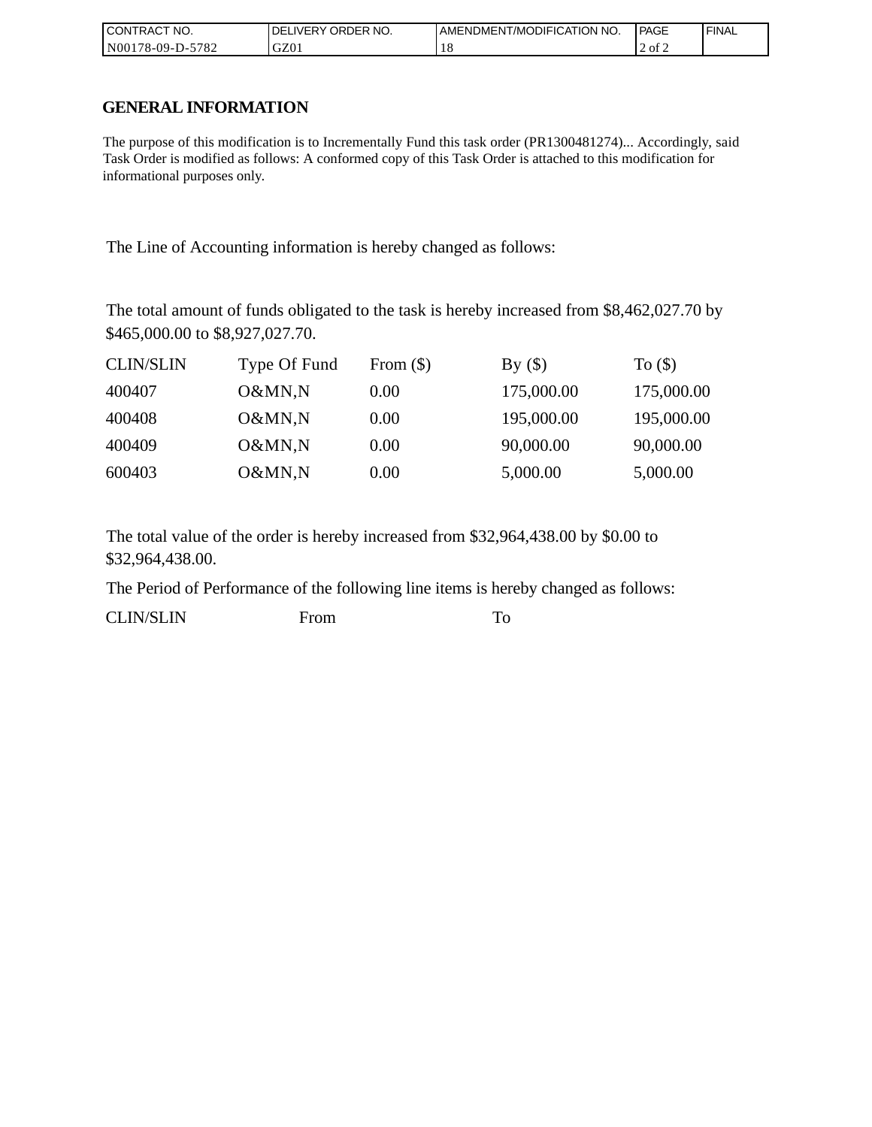| I CONTRACT NO.   | <b>IDELIVERY ORDER NO.</b> | AMENDMENT/MODIFICATION NO. | PAGE   | 'FINAL |
|------------------|----------------------------|----------------------------|--------|--------|
| N00178-09-D-5782 | GZ01                       |                            | 2 of 2 |        |

# **GENERAL INFORMATION**

The purpose of this modification is to Incrementally Fund this task order (PR1300481274)... Accordingly, said Task Order is modified as follows: A conformed copy of this Task Order is attached to this modification for informational purposes only.

The Line of Accounting information is hereby changed as follows:

The total amount of funds obligated to the task is hereby increased from \$8,462,027.70 by \$465,000.00 to \$8,927,027.70.

| <b>CLIN/SLIN</b> | Type Of Fund | From $(\$)$ | By()       | To $($     |
|------------------|--------------|-------------|------------|------------|
| 400407           | O&MN,N       | 0.00        | 175,000.00 | 175,000.00 |
| 400408           | O&MN,N       | 0.00        | 195,000.00 | 195,000.00 |
| 400409           | O&MN,N       | 0.00        | 90,000.00  | 90,000.00  |
| 600403           | O&MN,N       | 0.00        | 5,000.00   | 5,000.00   |

The total value of the order is hereby increased from \$32,964,438.00 by \$0.00 to \$32,964,438.00.

The Period of Performance of the following line items is hereby changed as follows:

CLIN/SLIN From To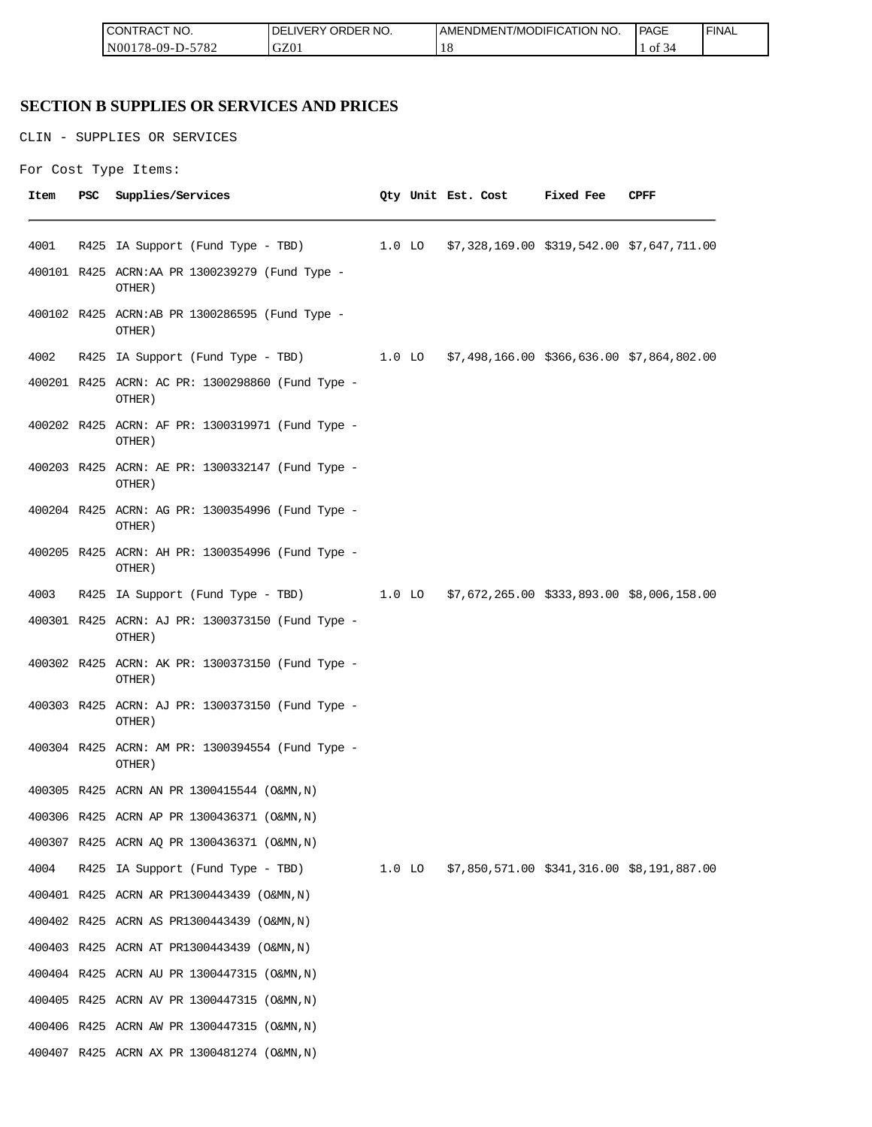| <b>CONTRACT NO.</b> | <b>IDELIVERY ORDER NO.</b> | AMENDMENT/MODIFICATION NO. | <b>PAGE</b>  | 'FINAL |
|---------------------|----------------------------|----------------------------|--------------|--------|
| N00178-09-D-5782    | GZ01                       | 1 O                        | ' 01<br>. در |        |

# **SECTION B SUPPLIES OR SERVICES AND PRICES**

CLIN - SUPPLIES OR SERVICES

For Cost Type Items:

| Item | PSC | Supplies/Services                                          |  | Qty Unit Est. Cost                                  | Fixed Fee | CPFF |
|------|-----|------------------------------------------------------------|--|-----------------------------------------------------|-----------|------|
| 4001 |     | R425 IA Support (Fund Type - TBD)                          |  | 1.0 LO \$7,328,169.00 \$319,542.00 \$7,647,711.00   |           |      |
|      |     | 400101 R425 ACRN:AA PR 1300239279 (Fund Type -<br>OTHER)   |  |                                                     |           |      |
|      |     | 400102 R425 ACRN:AB PR 1300286595 (Fund Type -<br>OTHER)   |  |                                                     |           |      |
| 4002 |     | R425 IA Support (Fund Type - TBD)                          |  | $1.0$ LO \$7,498,166.00 \$366,636.00 \$7,864,802.00 |           |      |
|      |     | 400201 R425 ACRN: AC PR: 1300298860 (Fund Type -<br>OTHER) |  |                                                     |           |      |
|      |     | 400202 R425 ACRN: AF PR: 1300319971 (Fund Type -<br>OTHER) |  |                                                     |           |      |
|      |     | 400203 R425 ACRN: AE PR: 1300332147 (Fund Type -<br>OTHER) |  |                                                     |           |      |
|      |     | 400204 R425 ACRN: AG PR: 1300354996 (Fund Type -<br>OTHER) |  |                                                     |           |      |
|      |     | 400205 R425 ACRN: AH PR: 1300354996 (Fund Type -<br>OTHER) |  |                                                     |           |      |
| 4003 |     | R425 IA Support (Fund Type - TBD)                          |  | 1.0 LO \$7,672,265.00 \$333,893.00 \$8,006,158.00   |           |      |
|      |     | 400301 R425 ACRN: AJ PR: 1300373150 (Fund Type -<br>OTHER) |  |                                                     |           |      |
|      |     | 400302 R425 ACRN: AK PR: 1300373150 (Fund Type -<br>OTHER) |  |                                                     |           |      |
|      |     | 400303 R425 ACRN: AJ PR: 1300373150 (Fund Type -<br>OTHER) |  |                                                     |           |      |
|      |     | 400304 R425 ACRN: AM PR: 1300394554 (Fund Type -<br>OTHER) |  |                                                     |           |      |
|      |     | 400305 R425 ACRN AN PR 1300415544 (O&MN, N)                |  |                                                     |           |      |
|      |     | 400306 R425 ACRN AP PR 1300436371 (O&MN, N)                |  |                                                     |           |      |
|      |     | 400307 R425 ACRN AQ PR 1300436371 (O&MN, N)                |  |                                                     |           |      |
| 4004 |     | R425 IA Support (Fund Type - TBD)                          |  | 1.0 LO \$7,850,571.00 \$341,316.00 \$8,191,887.00   |           |      |
|      |     | 400401 R425 ACRN AR PR1300443439 (O&MN, N)                 |  |                                                     |           |      |
|      |     | 400402 R425 ACRN AS PR1300443439 (O&MN, N)                 |  |                                                     |           |      |
|      |     | 400403 R425 ACRN AT PR1300443439 (O&MN, N)                 |  |                                                     |           |      |
|      |     | 400404 R425 ACRN AU PR 1300447315 (O&MN, N)                |  |                                                     |           |      |
|      |     | 400405 R425 ACRN AV PR 1300447315 (O&MN, N)                |  |                                                     |           |      |
|      |     | 400406 R425 ACRN AW PR 1300447315 (O&MN, N)                |  |                                                     |           |      |
|      |     | 400407 R425 ACRN AX PR 1300481274 (O&MN, N)                |  |                                                     |           |      |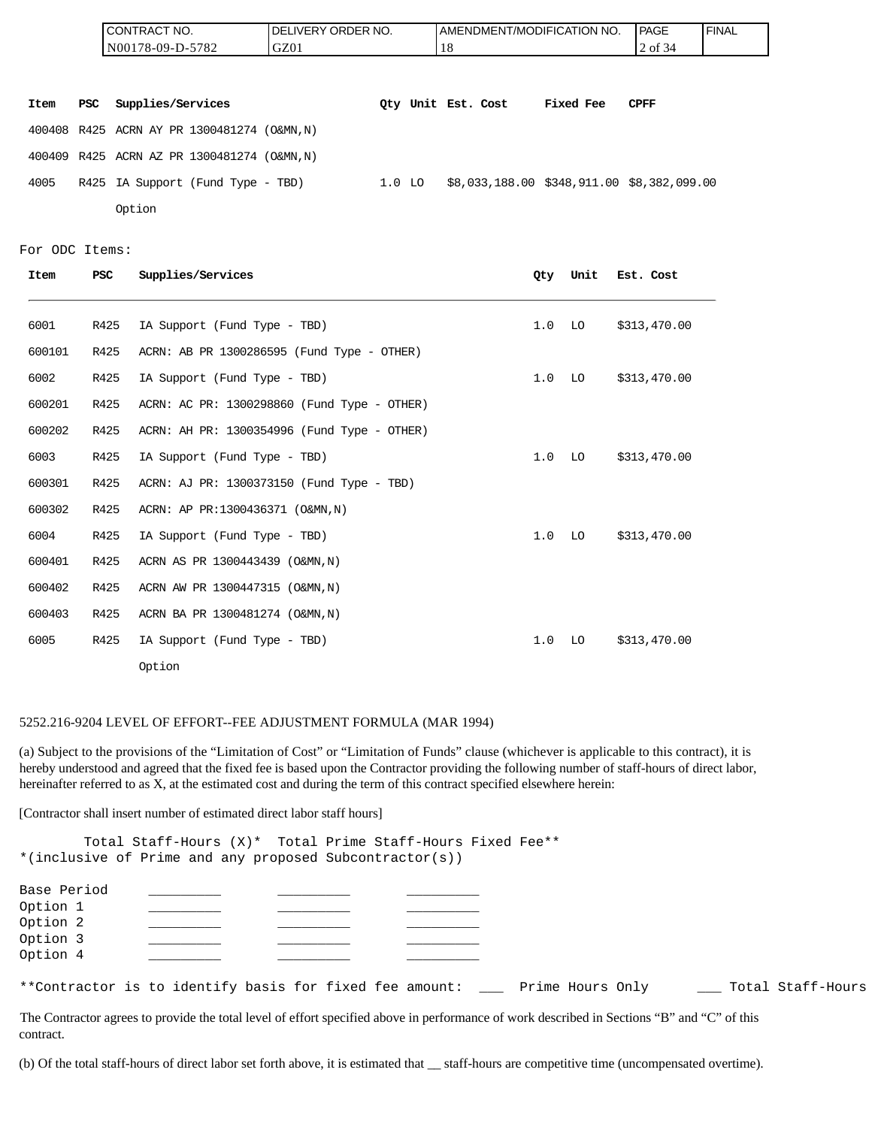|      |     | CONTRACT NO.                                | DELIVERY ORDER NO. |          |                    | AMENDMENT/MODIFICATION NO.                 | <b>PAGE</b> | <b>FINAL</b> |
|------|-----|---------------------------------------------|--------------------|----------|--------------------|--------------------------------------------|-------------|--------------|
|      |     | N00178-09-D-5782                            | GZ01               |          | 18                 |                                            | 2 of 34     |              |
|      |     |                                             |                    |          |                    |                                            |             |              |
| Item | PSC | Supplies/Services                           |                    |          | Oty Unit Est. Cost | Fixed Fee                                  | <b>CPFF</b> |              |
|      |     | 400408 R425 ACRN AY PR 1300481274 (O&MN, N) |                    |          |                    |                                            |             |              |
|      |     | 400409 R425 ACRN AZ PR 1300481274 (O&MN, N) |                    |          |                    |                                            |             |              |
| 4005 |     | R425 IA Support (Fund Type - TBD)           |                    | $1.0$ LO |                    | \$8,033,188.00 \$348,911.00 \$8,382,099.00 |             |              |
|      |     | Option                                      |                    |          |                    |                                            |             |              |

```
For ODC Items:
```

| Item   | PSC  | Supplies/Services                           | 0ty | Unit | Est. Cost    |
|--------|------|---------------------------------------------|-----|------|--------------|
| 6001   | R425 | IA Support (Fund Type - TBD)                | 1.0 | LO   | \$313,470.00 |
| 600101 | R425 | ACRN: AB PR 1300286595 (Fund Type - OTHER)  |     |      |              |
| 6002   | R425 | IA Support (Fund Type - TBD)                | 1.0 | LO   | \$313,470.00 |
| 600201 | R425 | ACRN: AC PR: 1300298860 (Fund Type - OTHER) |     |      |              |
| 600202 | R425 | ACRN: AH PR: 1300354996 (Fund Type - OTHER) |     |      |              |
| 6003   | R425 | IA Support (Fund Type - TBD)                | 1.0 | LO   | \$313,470.00 |
| 600301 | R425 | ACRN: AJ PR: 1300373150 (Fund Type - TBD)   |     |      |              |
| 600302 | R425 | ACRN: AP PR:1300436371 (O&MN, N)            |     |      |              |
| 6004   | R425 | IA Support (Fund Type - TBD)                | 1.0 | LO   | \$313,470.00 |
| 600401 | R425 | ACRN AS PR 1300443439 (O&MN, N)             |     |      |              |
| 600402 | R425 | ACRN AW PR 1300447315 (O&MN, N)             |     |      |              |
| 600403 | R425 | ACRN BA PR 1300481274 (O&MN, N)             |     |      |              |
| 6005   | R425 | IA Support (Fund Type - TBD)                | 1.0 | LO   | \$313,470.00 |
|        |      | Option                                      |     |      |              |

#### 5252.216-9204 LEVEL OF EFFORT--FEE ADJUSTMENT FORMULA (MAR 1994)

(a) Subject to the provisions of the "Limitation of Cost" or "Limitation of Funds" clause (whichever is applicable to this contract), it is hereby understood and agreed that the fixed fee is based upon the Contractor providing the following number of staff-hours of direct labor, hereinafter referred to as X, at the estimated cost and during the term of this contract specified elsewhere herein:

[Contractor shall insert number of estimated direct labor staff hours]

Total Staff-Hours (X)\* Total Prime Staff-Hours Fixed Fee\*\* \*(inclusive of Prime and any proposed Subcontractor(s))

| Base Period<br>Option 1<br>Option 2<br>Option 3<br>Option 4 |  |  |  |  |                  |  |                   |
|-------------------------------------------------------------|--|--|--|--|------------------|--|-------------------|
| **Contractor is to identify basis for fixed fee amount:     |  |  |  |  | Prime Hours Only |  | Total Staff-Hours |

The Contractor agrees to provide the total level of effort specified above in performance of work described in Sections "B" and "C" of this contract.

(b) Of the total staff-hours of direct labor set forth above, it is estimated that \_\_ staff-hours are competitive time (uncompensated overtime).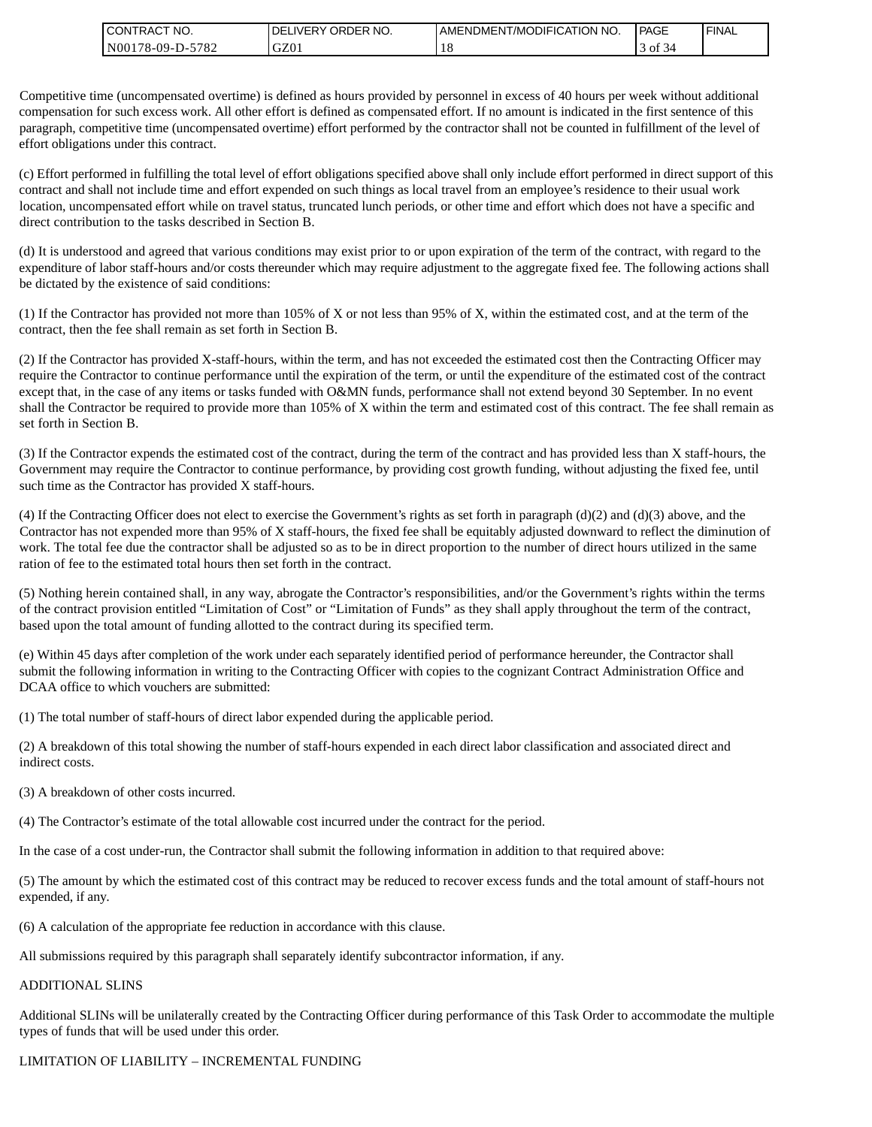| <b>CONTRACT NO.</b>                      | NO.<br>' ORDER<br><b>DELIVERY</b> | AMENDMENT/MODIFICATION NO. | <b>PAGE</b> | <b>FINAL</b> |
|------------------------------------------|-----------------------------------|----------------------------|-------------|--------------|
| $-5782$<br>N00 <sub>1</sub><br>/8-09-D-5 | GZ01                              |                            | ΟĪ<br>. د   |              |

Competitive time (uncompensated overtime) is defined as hours provided by personnel in excess of 40 hours per week without additional compensation for such excess work. All other effort is defined as compensated effort. If no amount is indicated in the first sentence of this paragraph, competitive time (uncompensated overtime) effort performed by the contractor shall not be counted in fulfillment of the level of effort obligations under this contract.

(c) Effort performed in fulfilling the total level of effort obligations specified above shall only include effort performed in direct support of this contract and shall not include time and effort expended on such things as local travel from an employee's residence to their usual work location, uncompensated effort while on travel status, truncated lunch periods, or other time and effort which does not have a specific and direct contribution to the tasks described in Section B.

(d) It is understood and agreed that various conditions may exist prior to or upon expiration of the term of the contract, with regard to the expenditure of labor staff-hours and/or costs thereunder which may require adjustment to the aggregate fixed fee. The following actions shall be dictated by the existence of said conditions:

(1) If the Contractor has provided not more than 105% of X or not less than 95% of X, within the estimated cost, and at the term of the contract, then the fee shall remain as set forth in Section B.

(2) If the Contractor has provided X-staff-hours, within the term, and has not exceeded the estimated cost then the Contracting Officer may require the Contractor to continue performance until the expiration of the term, or until the expenditure of the estimated cost of the contract except that, in the case of any items or tasks funded with O&MN funds, performance shall not extend beyond 30 September. In no event shall the Contractor be required to provide more than 105% of X within the term and estimated cost of this contract. The fee shall remain as set forth in Section B.

(3) If the Contractor expends the estimated cost of the contract, during the term of the contract and has provided less than X staff-hours, the Government may require the Contractor to continue performance, by providing cost growth funding, without adjusting the fixed fee, until such time as the Contractor has provided X staff-hours.

(4) If the Contracting Officer does not elect to exercise the Government's rights as set forth in paragraph (d)(2) and (d)(3) above, and the Contractor has not expended more than 95% of X staff-hours, the fixed fee shall be equitably adjusted downward to reflect the diminution of work. The total fee due the contractor shall be adjusted so as to be in direct proportion to the number of direct hours utilized in the same ration of fee to the estimated total hours then set forth in the contract.

(5) Nothing herein contained shall, in any way, abrogate the Contractor's responsibilities, and/or the Government's rights within the terms of the contract provision entitled "Limitation of Cost" or "Limitation of Funds" as they shall apply throughout the term of the contract, based upon the total amount of funding allotted to the contract during its specified term.

(e) Within 45 days after completion of the work under each separately identified period of performance hereunder, the Contractor shall submit the following information in writing to the Contracting Officer with copies to the cognizant Contract Administration Office and DCAA office to which vouchers are submitted:

(1) The total number of staff-hours of direct labor expended during the applicable period.

(2) A breakdown of this total showing the number of staff-hours expended in each direct labor classification and associated direct and indirect costs.

(3) A breakdown of other costs incurred.

(4) The Contractor's estimate of the total allowable cost incurred under the contract for the period.

In the case of a cost under-run, the Contractor shall submit the following information in addition to that required above:

(5) The amount by which the estimated cost of this contract may be reduced to recover excess funds and the total amount of staff-hours not expended, if any.

(6) A calculation of the appropriate fee reduction in accordance with this clause.

All submissions required by this paragraph shall separately identify subcontractor information, if any.

#### ADDITIONAL SLINS

Additional SLINs will be unilaterally created by the Contracting Officer during performance of this Task Order to accommodate the multiple types of funds that will be used under this order.

#### LIMITATION OF LIABILITY – INCREMENTAL FUNDING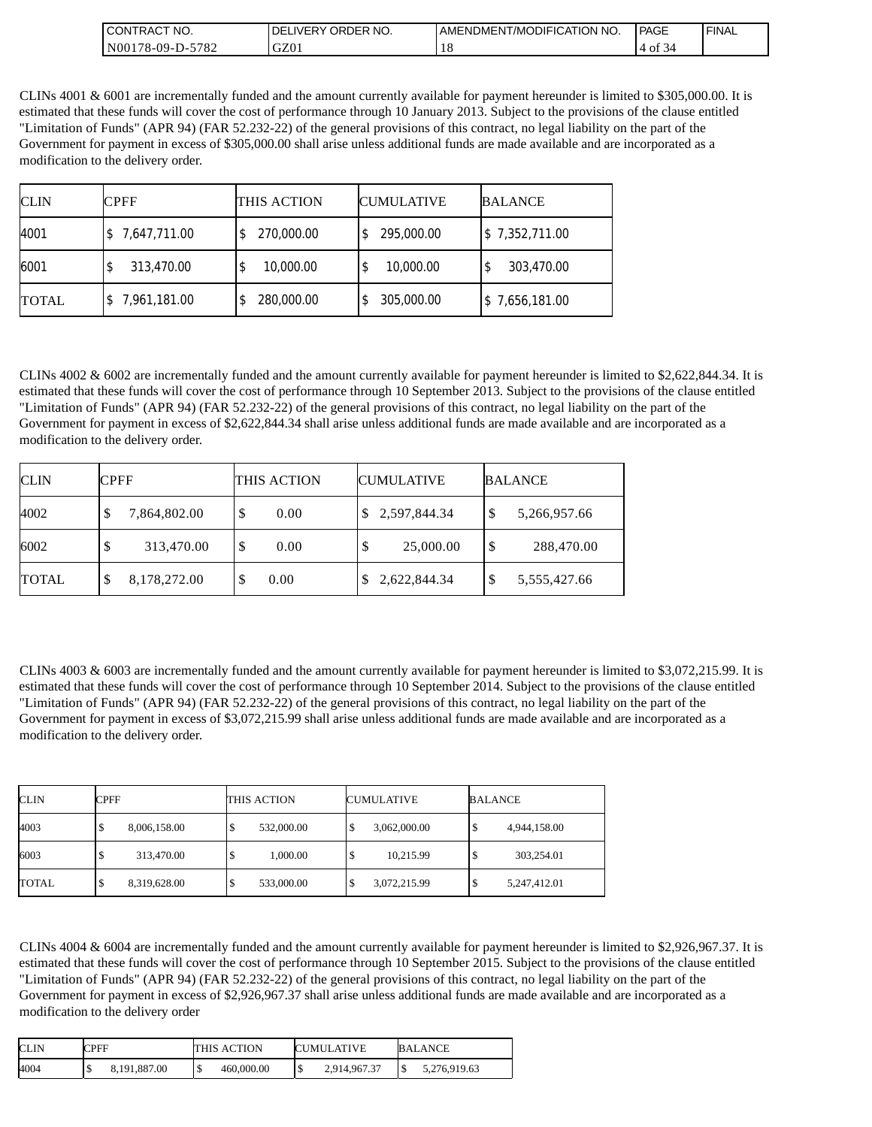| 'NO.<br><b>CONTRAC</b>                                 | NO.<br>ORDER<br>'DF<br>LIVERY. | AMENDMENT/MODIFICATION NO. | PAGE                      | <b>FINAL</b> |
|--------------------------------------------------------|--------------------------------|----------------------------|---------------------------|--------------|
| N <sub>00</sub><br>5782<br>$^{\circ}$ 178-09-D- $\sim$ | GZ01                           | 1 C                        | $\sim$ $\sim$<br>ΟĪ<br>34 |              |

CLINs 4001 & 6001 are incrementally funded and the amount currently available for payment hereunder is limited to \$305,000.00. It is estimated that these funds will cover the cost of performance through 10 January 2013. Subject to the provisions of the clause entitled "Limitation of Funds" (APR 94) (FAR 52.232-22) of the general provisions of this contract, no legal liability on the part of the Government for payment in excess of \$305,000.00 shall arise unless additional funds are made available and are incorporated as a modification to the delivery order.

| <b>CLIN</b>  | <b>CPFF</b>  | THIS ACTION     | <b>CUMULATIVE</b> | <b>BALANCE</b> |
|--------------|--------------|-----------------|-------------------|----------------|
| 4001         | 7,647,711.00 | 270,000.00      | 295,000.00        | \$7,352,711.00 |
| 6001         | 313,470.00   | 10,000.00<br>\$ | 10,000.00         | 303,470.00     |
| <b>TOTAL</b> | 7,961,181.00 | 280,000.00      | 305,000.00        | \$7,656,181.00 |

CLINs  $4002 \& 6002$  are incrementally funded and the amount currently available for payment hereunder is limited to \$2,622,844.34. It is estimated that these funds will cover the cost of performance through 10 September 2013. Subject to the provisions of the clause entitled "Limitation of Funds" (APR 94) (FAR 52.232-22) of the general provisions of this contract, no legal liability on the part of the Government for payment in excess of \$2,622,844.34 shall arise unless additional funds are made available and are incorporated as a modification to the delivery order.

| <b>CLIN</b>  | <b>CPFF</b>        | THIS ACTION | <b>CUMULATIVE</b> | <b>BALANCE</b>                          |
|--------------|--------------------|-------------|-------------------|-----------------------------------------|
| 4002         | 7,864,802.00       | S<br>0.00   | \$2,597,844.34    | 5,266,957.66<br>\$                      |
| 6002         | 313,470.00         | 0.00<br>D   | 25,000.00         | $\boldsymbol{\mathsf{S}}$<br>288,470.00 |
| <b>TOTAL</b> | 8,178,272.00<br>\$ | 0.00<br>Φ   | 2,622,844.34      | \$<br>5,555,427.66                      |

CLINs 4003 & 6003 are incrementally funded and the amount currently available for payment hereunder is limited to \$3,072,215.99. It is estimated that these funds will cover the cost of performance through 10 September 2014. Subject to the provisions of the clause entitled "Limitation of Funds" (APR 94) (FAR 52.232-22) of the general provisions of this contract, no legal liability on the part of the Government for payment in excess of \$3,072,215.99 shall arise unless additional funds are made available and are incorporated as a modification to the delivery order.

| <b>CLIN</b> | CPFF              | THIS ACTION | <b>CUMULATIVE</b> | <b>BALANCE</b>    |
|-------------|-------------------|-------------|-------------------|-------------------|
| 4003        | 8,006,158.00<br>Φ | 532,000.00  | 3,062,000.00      | 4,944,158.00<br>Ф |
| 6003        | 313,470.00<br>\$  | 1,000.00    | 10,215.99         | 303,254.01<br>S   |
| TOTAL       | 8,319,628.00<br>S | 533,000.00  | 3,072,215.99      | 5,247,412.01<br>Ф |

CLINs 4004 & 6004 are incrementally funded and the amount currently available for payment hereunder is limited to \$2,926,967.37. It is estimated that these funds will cover the cost of performance through 10 September 2015. Subject to the provisions of the clause entitled "Limitation of Funds" (APR 94) (FAR 52.232-22) of the general provisions of this contract, no legal liability on the part of the Government for payment in excess of \$2,926,967.37 shall arise unless additional funds are made available and are incorporated as a modification to the delivery order

| <b>CLIN</b> | <b>CPFF</b>  | THIS ACTION     | <b>CUMULATIVE</b>   | <b>BALANCE</b>     |
|-------------|--------------|-----------------|---------------------|--------------------|
| 4004        | 8,191,887.00 | 460,000,00<br>ີ | 2,914,967.37<br>1\$ | 5,276,919.63<br>ıэ |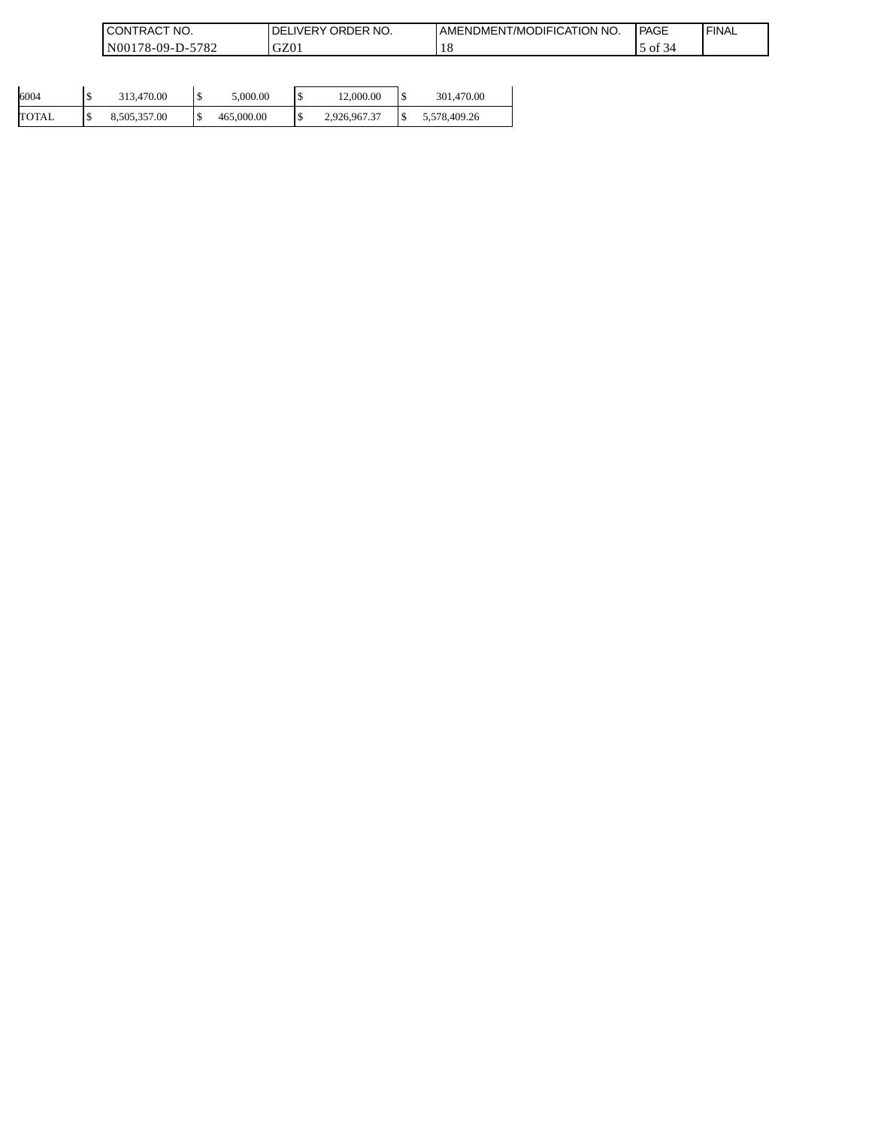| 'NO.<br>CONT'<br>TRAC1                                        | ORDER NO.<br><b>IVERY</b><br>DE | AMENDMENT/MODIFICATION<br>'NO. | PAGE       | ' FINAL |
|---------------------------------------------------------------|---------------------------------|--------------------------------|------------|---------|
| 5782<br>$N00^{\circ}$<br>'78-09-D<br>$\overline{\phantom{a}}$ | $\sim$<br>UZU1                  | 1 O                            | of $\beta$ |         |

| 6004  | ch<br>D | 313,470.00   | ۰U | 5,000,00   | ch | 12,000.00    | 1\$ | 301,470.00   |
|-------|---------|--------------|----|------------|----|--------------|-----|--------------|
| TOTAL | D       | 8,505,357.00 |    | 465,000.00 |    | 2,926,967.37 |     | 5,578,409.26 |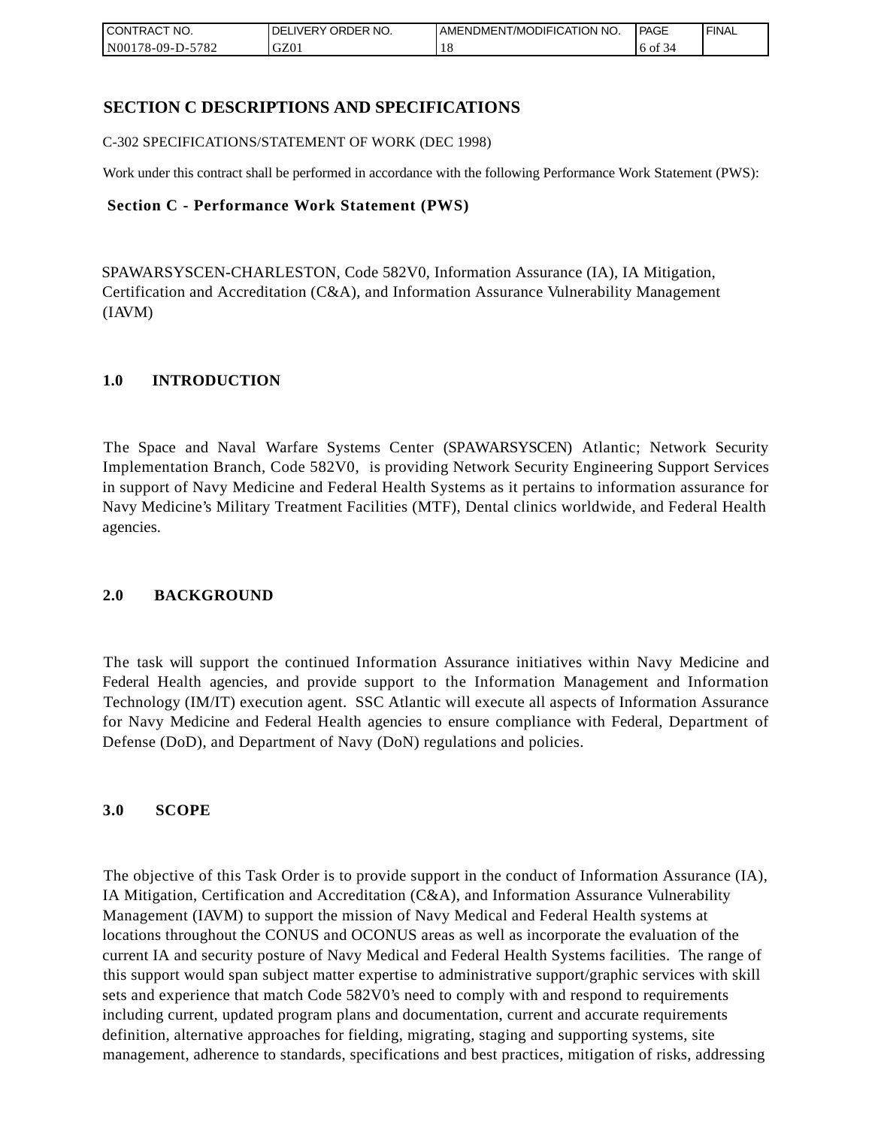| CONTRACT<br>CT NO.                       | NO.<br>' ORDER<br><b>DELIVERY</b> | AMENDMENT/MODIFICATION NO. | l PAGE        | <b>FINAL</b> |
|------------------------------------------|-----------------------------------|----------------------------|---------------|--------------|
| $-5782$<br>N <sub>001</sub><br>78-09-D-J | GZ0                               | 1 O                        | '6 of<br>. 34 |              |

# **SECTION C DESCRIPTIONS AND SPECIFICATIONS**

C-302 SPECIFICATIONS/STATEMENT OF WORK (DEC 1998)

Work under this contract shall be performed in accordance with the following Performance Work Statement (PWS):

### **Section C - Performance Work Statement (PWS)**

SPAWARSYSCEN-CHARLESTON, Code 582V0, Information Assurance (IA), IA Mitigation, Certification and Accreditation (C&A), and Information Assurance Vulnerability Management (IAVM)

## **1.0 INTRODUCTION**

The Space and Naval Warfare Systems Center (SPAWARSYSCEN) Atlantic; Network Security Implementation Branch, Code 582V0, is providing Network Security Engineering Support Services in support of Navy Medicine and Federal Health Systems as it pertains to information assurance for Navy Medicine's Military Treatment Facilities (MTF), Dental clinics worldwide, and Federal Health agencies.

## **2.0 BACKGROUND**

The task will support the continued Information Assurance initiatives within Navy Medicine and Federal Health agencies, and provide support to the Information Management and Information Technology (IM/IT) execution agent. SSC Atlantic will execute all aspects of Information Assurance for Navy Medicine and Federal Health agencies to ensure compliance with Federal, Department of Defense (DoD), and Department of Navy (DoN) regulations and policies.

## **3.0 SCOPE**

The objective of this Task Order is to provide support in the conduct of Information Assurance (IA), IA Mitigation, Certification and Accreditation (C&A), and Information Assurance Vulnerability Management (IAVM) to support the mission of Navy Medical and Federal Health systems at locations throughout the CONUS and OCONUS areas as well as incorporate the evaluation of the current IA and security posture of Navy Medical and Federal Health Systems facilities. The range of this support would span subject matter expertise to administrative support/graphic services with skill sets and experience that match Code 582V0's need to comply with and respond to requirements including current, updated program plans and documentation, current and accurate requirements definition, alternative approaches for fielding, migrating, staging and supporting systems, site management, adherence to standards, specifications and best practices, mitigation of risks, addressing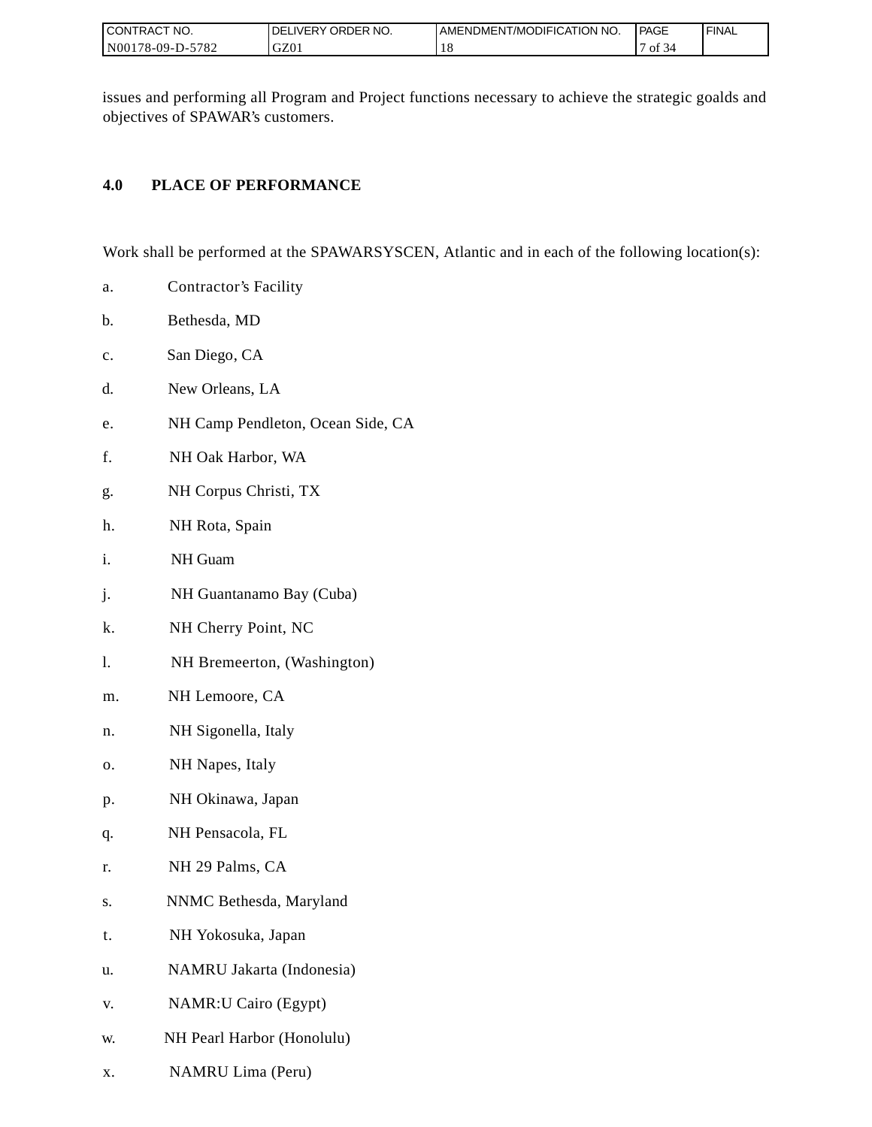| I CONTRACT NO.                 | ORDER NO.<br><b>LIVERY</b><br>DEL | AMENDMENT/MODIFICATION NO. | PAGE      | ' FINAL |
|--------------------------------|-----------------------------------|----------------------------|-----------|---------|
| 5782<br>N001<br>78-09-L<br>$-$ | GZ0                               | 1 O                        | ΟĪ<br>.54 |         |

issues and performing all Program and Project functions necessary to achieve the strategic goalds and objectives of SPAWAR's customers.

# **4.0 PLACE OF PERFORMANCE**

Work shall be performed at the SPAWARSYSCEN, Atlantic and in each of the following location(s):

- a. Contractor's Facility
- b. Bethesda, MD
- c. San Diego, CA
- d. New Orleans, LA
- e. NH Camp Pendleton, Ocean Side, CA
- f. NH Oak Harbor, WA
- g. NH Corpus Christi, TX
- h. NH Rota, Spain
- i. NH Guam
- j. NH Guantanamo Bay (Cuba)
- k. NH Cherry Point, NC
- l. NH Bremeerton, (Washington)
- m. NH Lemoore, CA
- n. NH Sigonella, Italy
- o. NH Napes, Italy
- p. NH Okinawa, Japan
- q. NH Pensacola, FL
- r. NH 29 Palms, CA
- s. NNMC Bethesda, Maryland
- t. NH Yokosuka, Japan
- u. NAMRU Jakarta (Indonesia)
- v. NAMR:U Cairo (Egypt)
- w. NH Pearl Harbor (Honolulu)
- x. NAMRU Lima (Peru)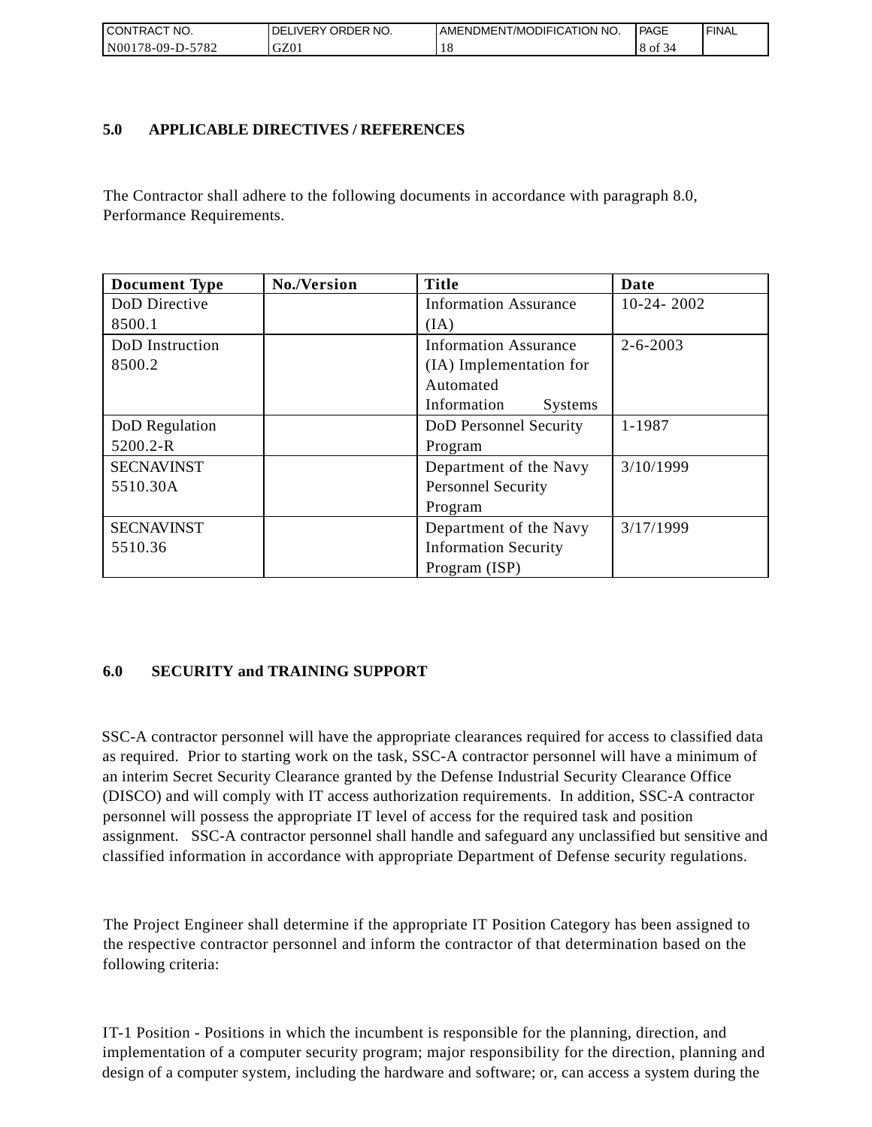| °CT NO.<br>I CONTRACT            | NO.<br>' ORDER<br><b>DELIVERY</b> | AMENDMENT/MODIFICATION<br>' NO. | PAGE | ' FINAL |
|----------------------------------|-----------------------------------|---------------------------------|------|---------|
| $\sim$ N001<br>5782<br>78-09-D-' | GZ01                              |                                 | 8 of |         |

## **5.0 APPLICABLE DIRECTIVES / REFERENCES**

The Contractor shall adhere to the following documents in accordance with paragraph 8.0, Performance Requirements.

| <b>Document Type</b> | No./Version | <b>Title</b>                  | Date           |
|----------------------|-------------|-------------------------------|----------------|
| DoD Directive        |             | <b>Information Assurance</b>  | $10-24-2002$   |
| 8500.1               |             | (IA)                          |                |
| DoD Instruction      |             | <b>Information Assurance</b>  | $2 - 6 - 2003$ |
| 8500.2               |             | (IA) Implementation for       |                |
|                      |             | Automated                     |                |
|                      |             | Information<br><b>Systems</b> |                |
| DoD Regulation       |             | DoD Personnel Security        | 1-1987         |
| 5200.2-R             |             | Program                       |                |
| <b>SECNAVINST</b>    |             | Department of the Navy        | 3/10/1999      |
| 5510.30A             |             | <b>Personnel Security</b>     |                |
|                      |             | Program                       |                |
| <b>SECNAVINST</b>    |             | Department of the Navy        | 3/17/1999      |
| 5510.36              |             | <b>Information Security</b>   |                |
|                      |             | Program (ISP)                 |                |

# **6.0 SECURITY and TRAINING SUPPORT**

SSC-A contractor personnel will have the appropriate clearances required for access to classified data as required. Prior to starting work on the task, SSC-A contractor personnel will have a minimum of an interim Secret Security Clearance granted by the Defense Industrial Security Clearance Office (DISCO) and will comply with IT access authorization requirements. In addition, SSC-A contractor personnel will possess the appropriate IT level of access for the required task and position assignment. SSC-A contractor personnel shall handle and safeguard any unclassified but sensitive and classified information in accordance with appropriate Department of Defense security regulations.

The Project Engineer shall determine if the appropriate IT Position Category has been assigned to the respective contractor personnel and inform the contractor of that determination based on the following criteria:

IT-1 Position - Positions in which the incumbent is responsible for the planning, direction, and implementation of a computer security program; major responsibility for the direction, planning and design of a computer system, including the hardware and software; or, can access a system during the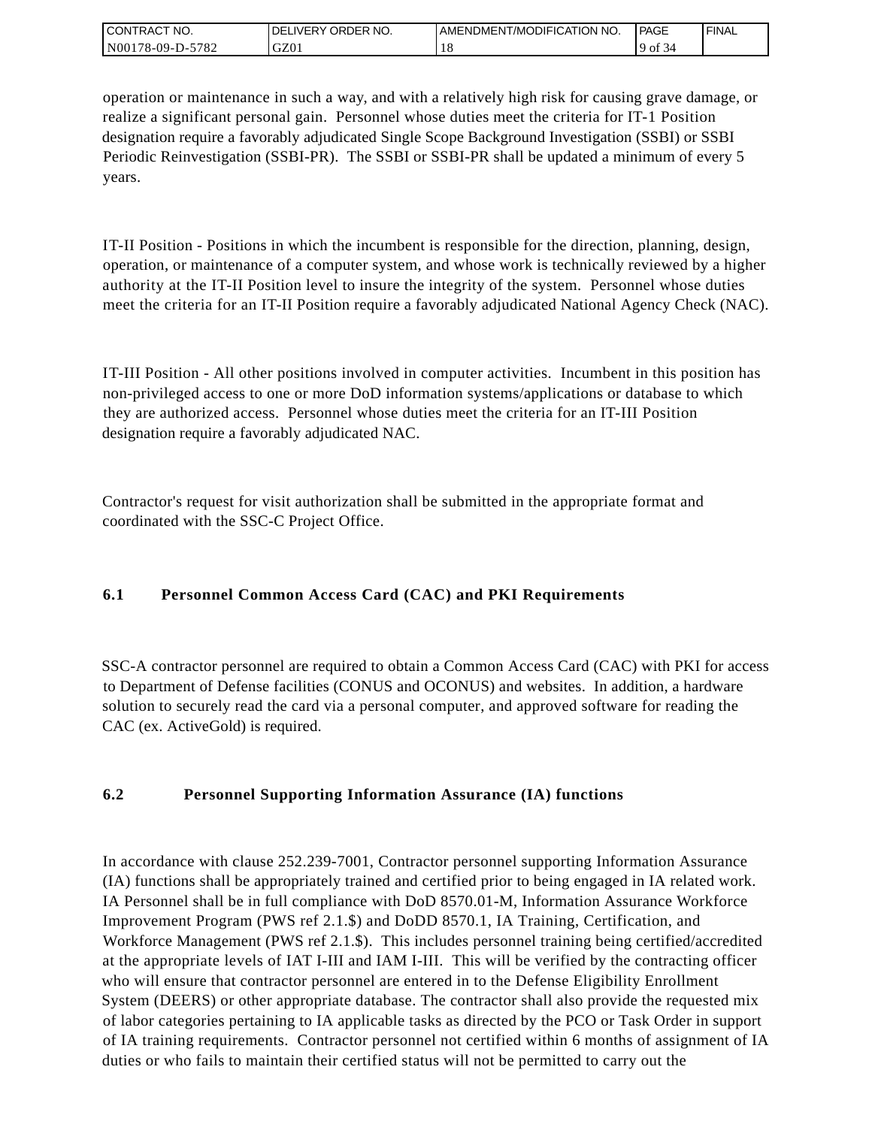| CONTRACT<br>CT NO.                        | NO.<br>ORDER<br><b>DELIVERY</b> | I AMENDMENT/MODIFICATION NO. | PAGE | <b>I FINAL</b> |
|-------------------------------------------|---------------------------------|------------------------------|------|----------------|
| 5782<br>N <sub>001</sub><br>$178-09-D$ -J | GZ0 <sub>1</sub>                | . O                          | ΟĪ   |                |

operation or maintenance in such a way, and with a relatively high risk for causing grave damage, or realize a significant personal gain. Personnel whose duties meet the criteria for IT-1 Position designation require a favorably adjudicated Single Scope Background Investigation (SSBI) or SSBI Periodic Reinvestigation (SSBI-PR). The SSBI or SSBI-PR shall be updated a minimum of every 5 years.

IT-II Position - Positions in which the incumbent is responsible for the direction, planning, design, operation, or maintenance of a computer system, and whose work is technically reviewed by a higher authority at the IT-II Position level to insure the integrity of the system. Personnel whose duties meet the criteria for an IT-II Position require a favorably adjudicated National Agency Check (NAC).

IT-III Position - All other positions involved in computer activities. Incumbent in this position has non-privileged access to one or more DoD information systems/applications or database to which they are authorized access. Personnel whose duties meet the criteria for an IT-III Position designation require a favorably adjudicated NAC.

Contractor's request for visit authorization shall be submitted in the appropriate format and coordinated with the SSC-C Project Office.

# **6.1 Personnel Common Access Card (CAC) and PKI Requirements**

SSC-A contractor personnel are required to obtain a Common Access Card (CAC) with PKI for access to Department of Defense facilities (CONUS and OCONUS) and websites. In addition, a hardware solution to securely read the card via a personal computer, and approved software for reading the CAC (ex. ActiveGold) is required.

# **6.2 Personnel Supporting Information Assurance (IA) functions**

In accordance with clause 252.239-7001, Contractor personnel supporting Information Assurance (IA) functions shall be appropriately trained and certified prior to being engaged in IA related work. IA Personnel shall be in full compliance with DoD 8570.01-M, Information Assurance Workforce Improvement Program (PWS ref 2.1.\$) and DoDD 8570.1, IA Training, Certification, and Workforce Management (PWS ref 2.1.\$). This includes personnel training being certified/accredited at the appropriate levels of IAT I-III and IAM I-III. This will be verified by the contracting officer who will ensure that contractor personnel are entered in to the Defense Eligibility Enrollment System (DEERS) or other appropriate database. The contractor shall also provide the requested mix of labor categories pertaining to IA applicable tasks as directed by the PCO or Task Order in support of IA training requirements. Contractor personnel not certified within 6 months of assignment of IA duties or who fails to maintain their certified status will not be permitted to carry out the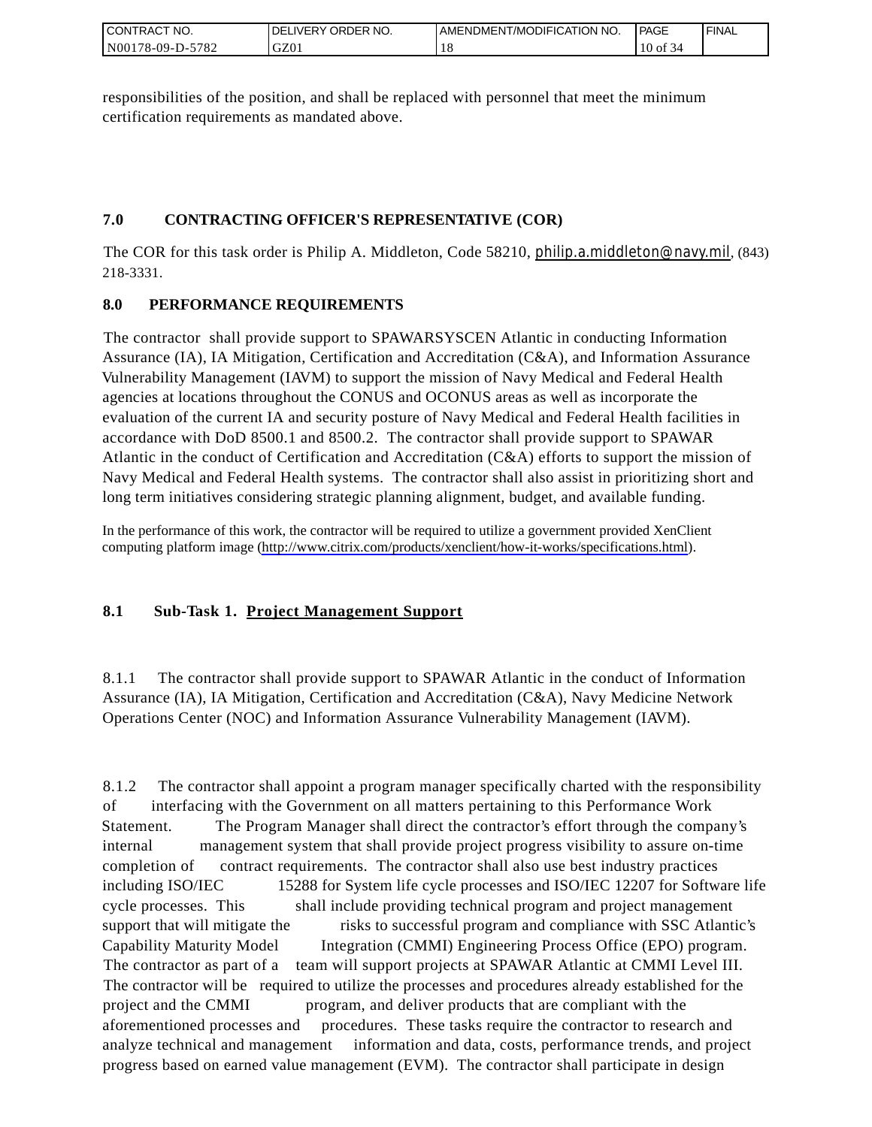| CONTRACT<br>`CT NO.      | NO.<br>' ORDER<br><b>DELIVERY</b> | AMENDMENT/MODIFICATION NO. | <b>PAGE</b> | ' FINAL |
|--------------------------|-----------------------------------|----------------------------|-------------|---------|
| $-5782$<br>N00178-09-D-5 | GZ01                              | 1 O                        | $10$ of     |         |

responsibilities of the position, and shall be replaced with personnel that meet the minimum certification requirements as mandated above.

# **7.0 CONTRACTING OFFICER'S REPRESENTATIVE (COR)**

The COR for this task order is Philip A. Middleton, Code 58210, [philip.a.middleton@navy.mil](mailto:cphilip.a.middleton@navy.mil), (843) 218-3331.

# **8.0 PERFORMANCE REQUIREMENTS**

The contractor shall provide support to SPAWARSYSCEN Atlantic in conducting Information Assurance (IA), IA Mitigation, Certification and Accreditation (C&A), and Information Assurance Vulnerability Management (IAVM) to support the mission of Navy Medical and Federal Health agencies at locations throughout the CONUS and OCONUS areas as well as incorporate the evaluation of the current IA and security posture of Navy Medical and Federal Health facilities in accordance with DoD 8500.1 and 8500.2. The contractor shall provide support to SPAWAR Atlantic in the conduct of Certification and Accreditation (C&A) efforts to support the mission of Navy Medical and Federal Health systems. The contractor shall also assist in prioritizing short and long term initiatives considering strategic planning alignment, budget, and available funding.

In the performance of this work, the contractor will be required to utilize a government provided XenClient computing platform image [\(http://www.citrix.com/products/xenclient/how-it-works/specifications.html\)](http://www.citrix.com/products/xenclient/how-it-works/specifications.html).

# **8.1 Sub-Task 1. Project Management Support**

8.1.1 The contractor shall provide support to SPAWAR Atlantic in the conduct of Information Assurance (IA), IA Mitigation, Certification and Accreditation (C&A), Navy Medicine Network Operations Center (NOC) and Information Assurance Vulnerability Management (IAVM).

8.1.2 The contractor shall appoint a program manager specifically charted with the responsibility of interfacing with the Government on all matters pertaining to this Performance Work Statement. The Program Manager shall direct the contractor's effort through the company's internal management system that shall provide project progress visibility to assure on-time completion of contract requirements. The contractor shall also use best industry practices including ISO/IEC 15288 for System life cycle processes and ISO/IEC 12207 for Software life cycle processes. This shall include providing technical program and project management support that will mitigate the risks to successful program and compliance with SSC Atlantic's Capability Maturity Model Integration (CMMI) Engineering Process Office (EPO) program. The contractor as part of a team will support projects at SPAWAR Atlantic at CMMI Level III. The contractor will be required to utilize the processes and procedures already established for the project and the CMMI program, and deliver products that are compliant with the aforementioned processes and procedures. These tasks require the contractor to research and analyze technical and management information and data, costs, performance trends, and project progress based on earned value management (EVM). The contractor shall participate in design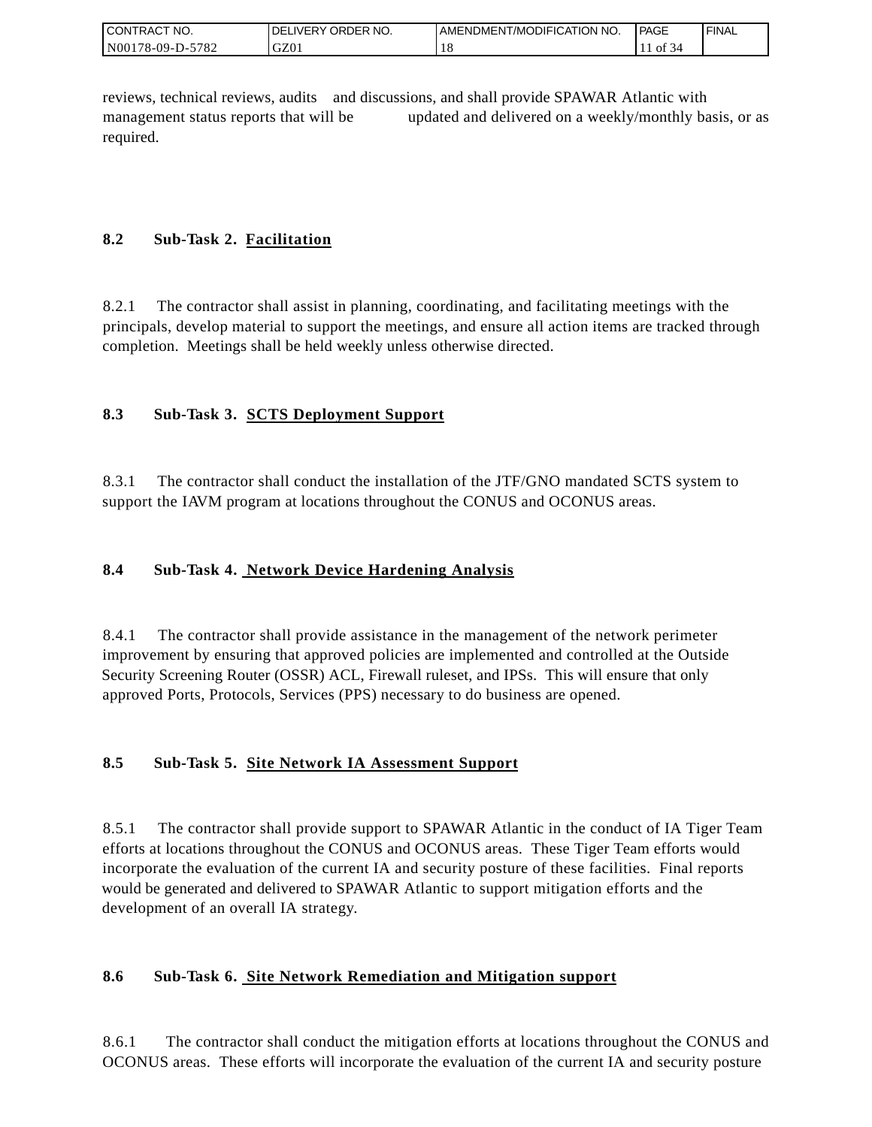| <b>CON</b><br>`CT NO.<br>TRAC | ORDER NO.<br><b>IVERY</b><br>DEI | AMENDMENT/MODIFICATION NO. | <sup>1</sup> PAGE | ' FINAL |
|-------------------------------|----------------------------------|----------------------------|-------------------|---------|
| N001<br>5782<br>$178-09-D$ -  | GZ01                             | 10                         | Οİ                |         |

reviews, technical reviews, audits and discussions, and shall provide SPAWAR Atlantic with management status reports that will be updated and delivered on a weekly/monthly basis, or as required.

# **8.2 Sub-Task 2. Facilitation**

8.2.1 The contractor shall assist in planning, coordinating, and facilitating meetings with the principals, develop material to support the meetings, and ensure all action items are tracked through completion. Meetings shall be held weekly unless otherwise directed.

# **8.3 Sub-Task 3. SCTS Deployment Support**

8.3.1 The contractor shall conduct the installation of the JTF/GNO mandated SCTS system to support the IAVM program at locations throughout the CONUS and OCONUS areas.

# **8.4 Sub-Task 4. Network Device Hardening Analysis**

8.4.1 The contractor shall provide assistance in the management of the network perimeter improvement by ensuring that approved policies are implemented and controlled at the Outside Security Screening Router (OSSR) ACL, Firewall ruleset, and IPSs. This will ensure that only approved Ports, Protocols, Services (PPS) necessary to do business are opened.

# **8.5 Sub-Task 5. Site Network IA Assessment Support**

8.5.1 The contractor shall provide support to SPAWAR Atlantic in the conduct of IA Tiger Team efforts at locations throughout the CONUS and OCONUS areas. These Tiger Team efforts would incorporate the evaluation of the current IA and security posture of these facilities. Final reports would be generated and delivered to SPAWAR Atlantic to support mitigation efforts and the development of an overall IA strategy.

# **8.6 Sub-Task 6. Site Network Remediation and Mitigation support**

8.6.1 The contractor shall conduct the mitigation efforts at locations throughout the CONUS and OCONUS areas. These efforts will incorporate the evaluation of the current IA and security posture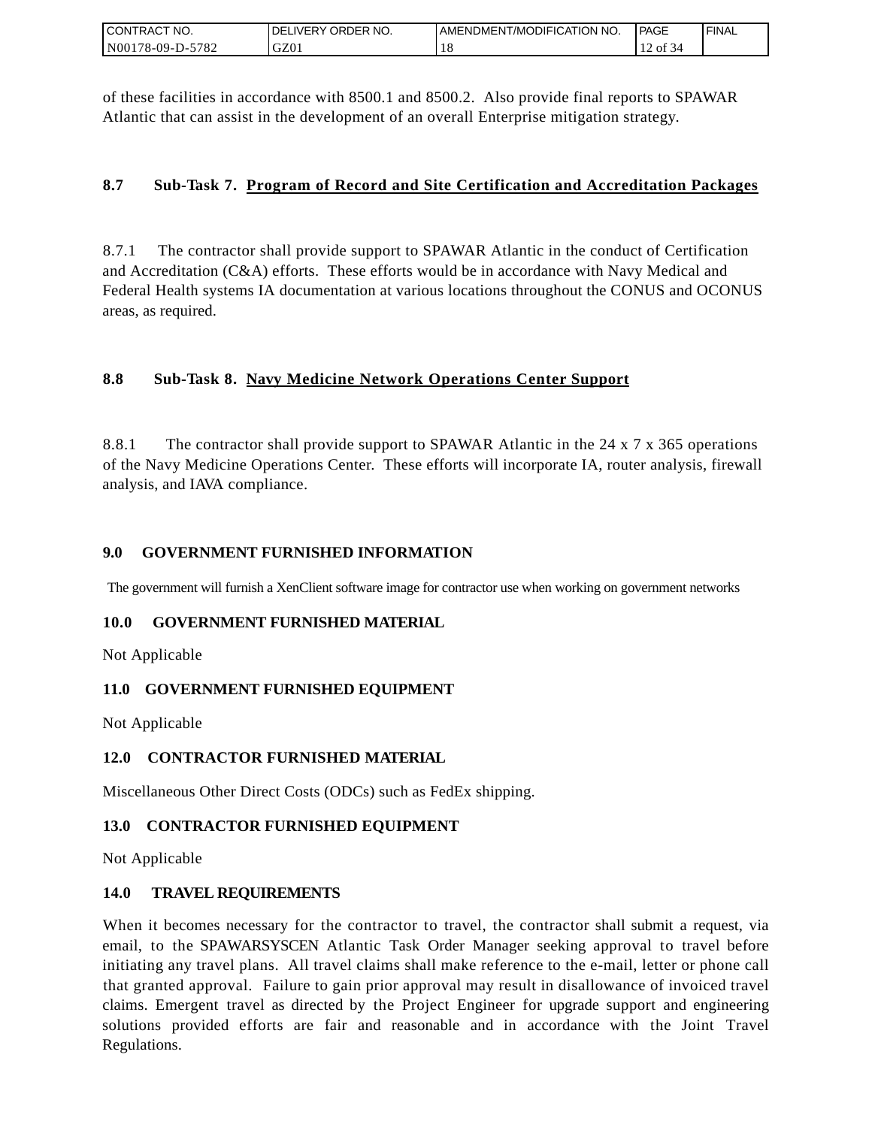| I CONTRACT NO.   | DELIVERY ORDER NO. | AMENDMENT/MODIFICATION NO. | PAGE      | ' FINAL |
|------------------|--------------------|----------------------------|-----------|---------|
| N00178-09-D-5782 | GZ01               |                            | ΟĪ<br>-54 |         |

of these facilities in accordance with 8500.1 and 8500.2. Also provide final reports to SPAWAR Atlantic that can assist in the development of an overall Enterprise mitigation strategy.

## **8.7 Sub-Task 7. Program of Record and Site Certification and Accreditation Packages**

8.7.1 The contractor shall provide support to SPAWAR Atlantic in the conduct of Certification and Accreditation (C&A) efforts. These efforts would be in accordance with Navy Medical and Federal Health systems IA documentation at various locations throughout the CONUS and OCONUS areas, as required.

# **8.8 Sub-Task 8. Navy Medicine Network Operations Center Support**

8.8.1 The contractor shall provide support to SPAWAR Atlantic in the 24 x 7 x 365 operations of the Navy Medicine Operations Center. These efforts will incorporate IA, router analysis, firewall analysis, and IAVA compliance.

## **9.0 GOVERNMENT FURNISHED INFORMATION**

The government will furnish a XenClient software image for contractor use when working on government networks

## **10.0 GOVERNMENT FURNISHED MATERIAL**

Not Applicable

## **11.0 GOVERNMENT FURNISHED EQUIPMENT**

Not Applicable

## **12.0 CONTRACTOR FURNISHED MATERIAL**

Miscellaneous Other Direct Costs (ODCs) such as FedEx shipping.

## **13.0 CONTRACTOR FURNISHED EQUIPMENT**

Not Applicable

## **14.0 TRAVEL REQUIREMENTS**

CONTRACT NO.<br>
NO0178-09-D-5<br>
CONTRACT NO.<br>
NO0178-09-D-5<br>
Of these facili<br>
Atlantic that of<br>
8.7 Sub-1<br>
8.7 Sub-1<br>
8.7 Sub-1<br>
8.8 Sub-1<br>
8.8 Sub-1<br>
8.8 Sub-1<br>
8.8.1 The of the Navy M<br>
8.8.1 The of the Navy M<br>
analysis, and When it becomes necessary for the contractor to travel, the contractor shall submit a request, via email, to the SPAWARSYSCEN Atlantic Task Order Manager seeking approval to travel before initiating any travel plans. All travel claims shall make reference to the e-mail, letter or phone call that granted approval. Failure to gain prior approval may result in disallowance of invoiced travel claims. Emergent travel as directed by the Project Engineer for upgrade support and engineering solutions provided efforts are fair and reasonable and in accordance with the Joint Travel Regulations.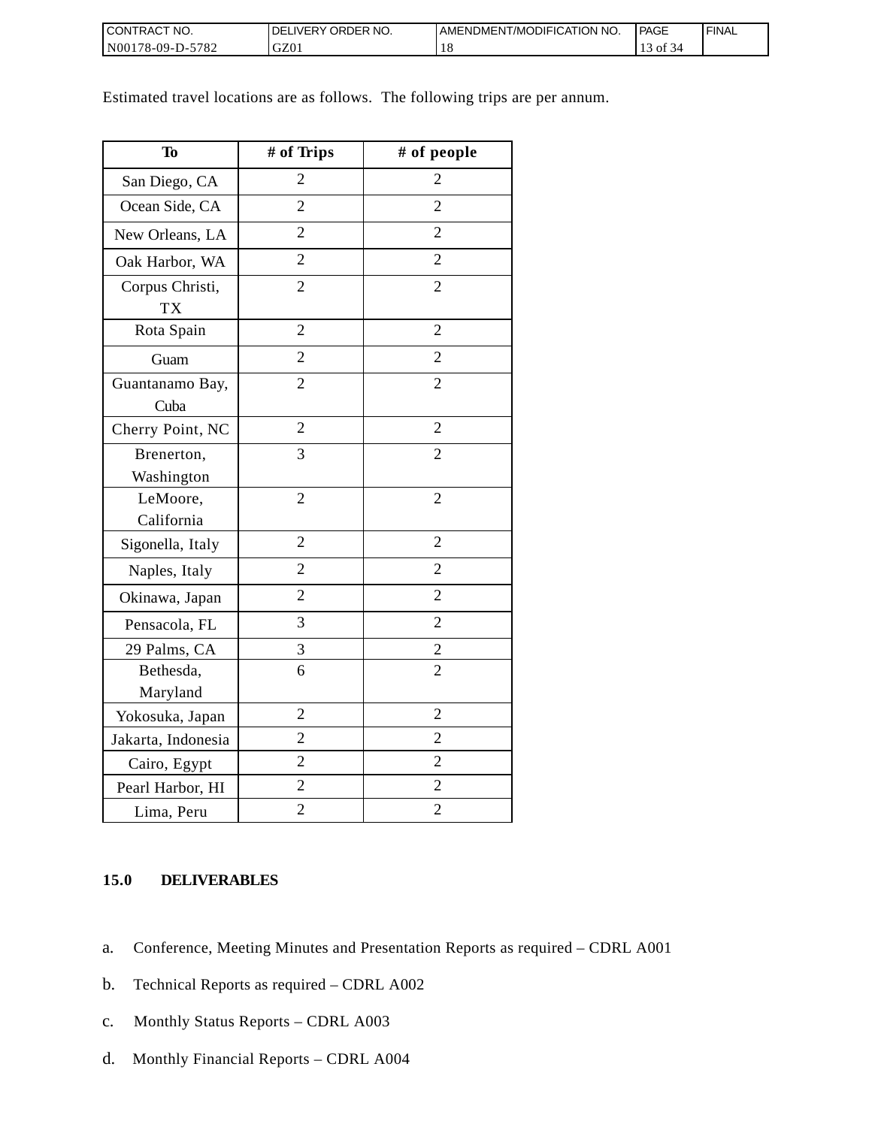| <b>I CONTRACT NO.</b>  | DELIVERY ORDER NO. | AMENDMENT/MODIFICATION NO. | <b>PAGE</b> | ' FINAL |
|------------------------|--------------------|----------------------------|-------------|---------|
| N00178-09-D-57<br>5782 | GZ01               |                            | ΟĪ          |         |

Estimated travel locations are as follows. The following trips are per annum.

| <b>To</b>                    | # of Trips     | # of people    |
|------------------------------|----------------|----------------|
| San Diego, CA                | $\overline{2}$ | $\overline{2}$ |
| Ocean Side, CA               | $\overline{2}$ | $\overline{2}$ |
| New Orleans, LA              | $\overline{2}$ | $\overline{2}$ |
| Oak Harbor, WA               | $\overline{2}$ | $\overline{2}$ |
| Corpus Christi,<br><b>TX</b> | $\overline{2}$ | $\overline{2}$ |
| Rota Spain                   | $\overline{2}$ | $\overline{2}$ |
| Guam                         | $\overline{2}$ | $\overline{2}$ |
| Guantanamo Bay,<br>Cuba      | $\overline{2}$ | $\overline{2}$ |
| Cherry Point, NC             | $\overline{2}$ | $\overline{2}$ |
| Brenerton,<br>Washington     | 3              | $\overline{2}$ |
| LeMoore,<br>California       | $\overline{2}$ | $\overline{2}$ |
| Sigonella, Italy             | $\overline{2}$ | $\overline{2}$ |
| Naples, Italy                | $\overline{2}$ | $\overline{2}$ |
| Okinawa, Japan               | $\overline{2}$ | $\overline{2}$ |
| Pensacola, FL                | 3              | $\overline{2}$ |
| 29 Palms, CA                 | 3              | $\overline{2}$ |
| Bethesda,<br>Maryland        | 6              | $\overline{2}$ |
| Yokosuka, Japan              | $\overline{2}$ | $\overline{2}$ |
| Jakarta, Indonesia           | $\overline{2}$ | $\overline{2}$ |
| Cairo, Egypt                 | $\overline{2}$ | $\overline{2}$ |
| Pearl Harbor, HI             | $\overline{c}$ | $\overline{2}$ |
| Lima, Peru                   | $\overline{c}$ | $\overline{c}$ |

## **15.0 DELIVERABLES**

- a. Conference, Meeting Minutes and Presentation Reports as required CDRL A001
- b. Technical Reports as required CDRL A002
- c. Monthly Status Reports CDRL A003
- d. Monthly Financial Reports CDRL A004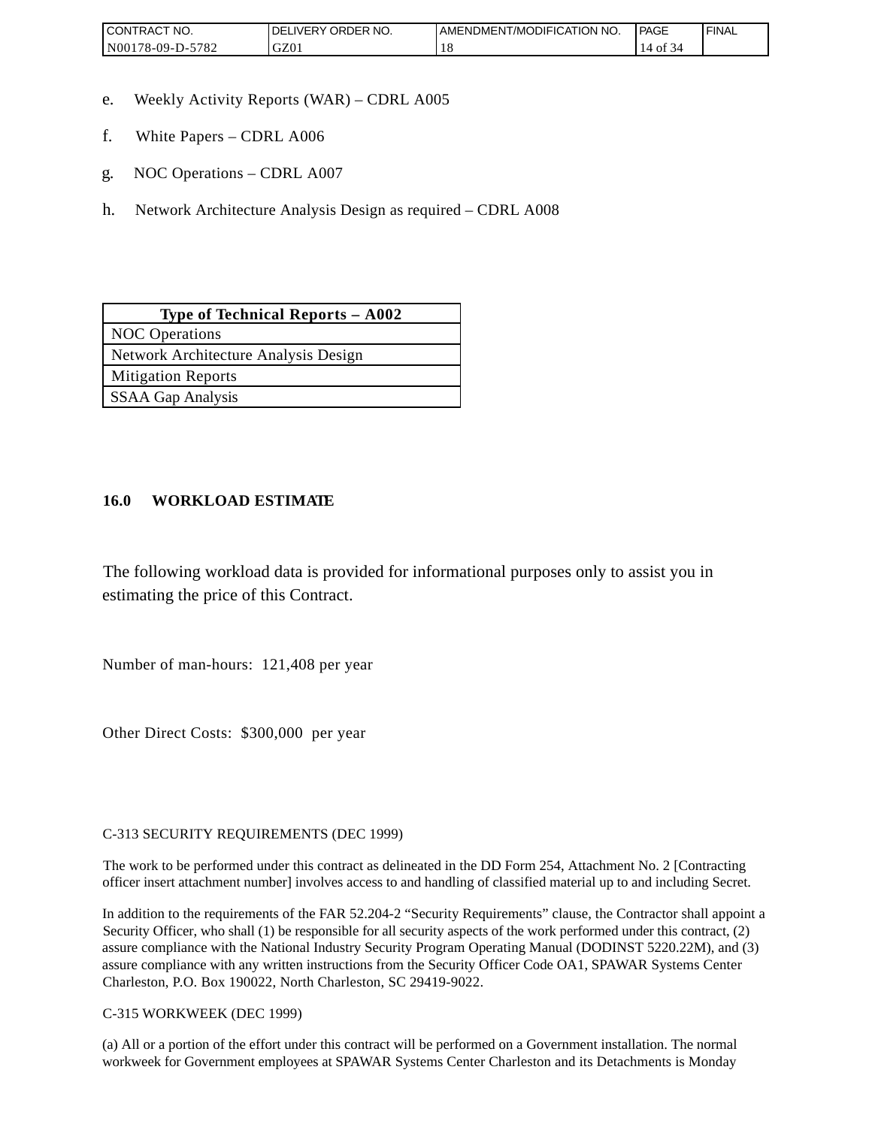| <b>CONTRAC</b><br>'NO.          | NO.<br><b>ORDER</b><br><b>DELIVERY</b> | AMENDMENT/MODIFICATION NO. | <b>PAGE</b> | <b>FINAL</b> |
|---------------------------------|----------------------------------------|----------------------------|-------------|--------------|
| 5700<br>N00<br>78-09-D-.<br>104 | $\sim$<br>UZU.                         | 1 U                        | ΟĪ          |              |

- e. Weekly Activity Reports (WAR) CDRL A005
- f. White Papers CDRL A006
- g. NOC Operations CDRL A007
- h. Network Architecture Analysis Design as required CDRL A008

| Type of Technical Reports $-$ A002   |
|--------------------------------------|
| <b>NOC</b> Operations                |
| Network Architecture Analysis Design |
| <b>Mitigation Reports</b>            |
| SSAA Gap Analysis                    |

## **16.0 WORKLOAD ESTIMATE**

The following workload data is provided for informational purposes only to assist you in estimating the price of this Contract.

Number of man-hours: 121,408 per year

Other Direct Costs: \$300,000 per year

C-313 SECURITY REQUIREMENTS (DEC 1999)

The work to be performed under this contract as delineated in the DD Form 254, Attachment No. 2 [Contracting officer insert attachment number] involves access to and handling of classified material up to and including Secret.

In addition to the requirements of the FAR 52.204-2 "Security Requirements" clause, the Contractor shall appoint a Security Officer, who shall (1) be responsible for all security aspects of the work performed under this contract, (2) assure compliance with the National Industry Security Program Operating Manual (DODINST 5220.22M), and (3) assure compliance with any written instructions from the Security Officer Code OA1, SPAWAR Systems Center Charleston, P.O. Box 190022, North Charleston, SC 29419-9022.

C-315 WORKWEEK (DEC 1999)

(a) All or a portion of the effort under this contract will be performed on a Government installation. The normal workweek for Government employees at SPAWAR Systems Center Charleston and its Detachments is Monday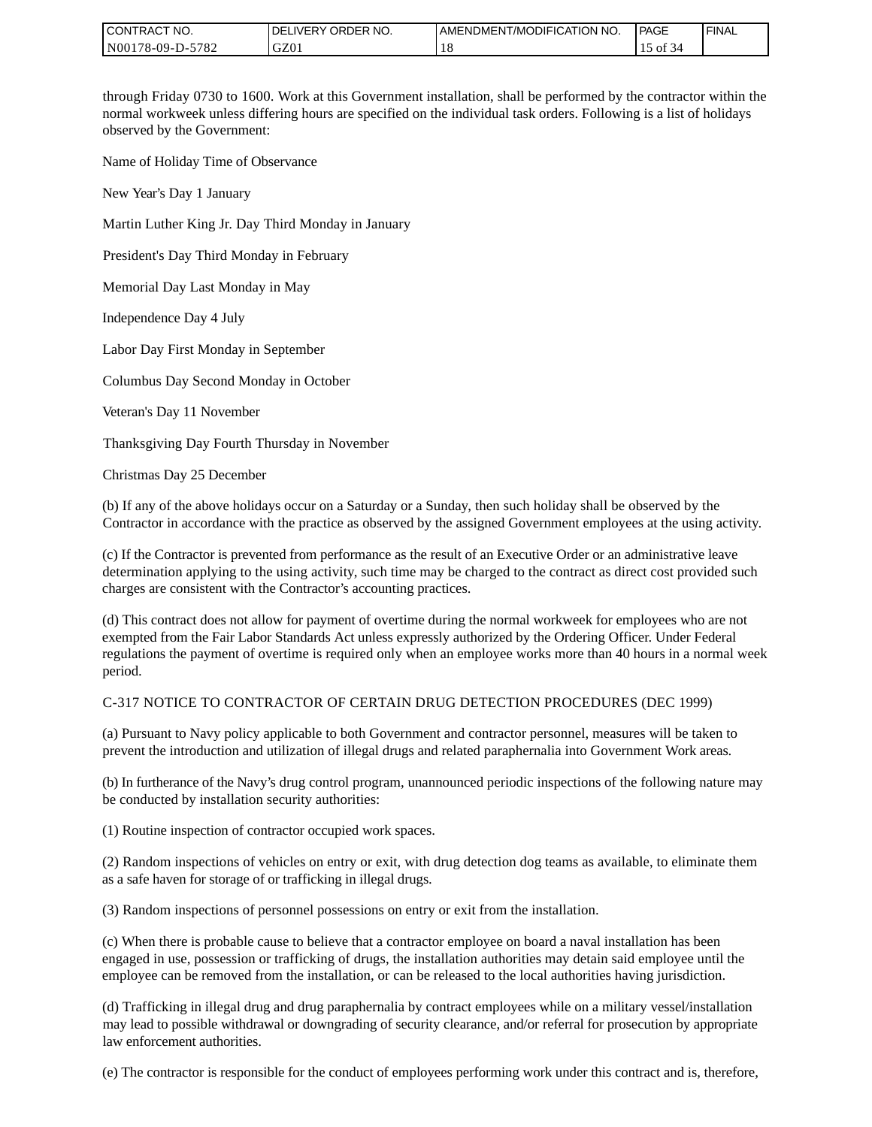| I CONTRACT NO.   | ' ORDER NO.<br><b>DELIVERY</b> | I AMENDMENT/MODIFICATION NO. | PAGE | ' FINAL |
|------------------|--------------------------------|------------------------------|------|---------|
| N00178-09-D-5782 | GZ0.                           | 10                           | ОI   |         |

through Friday 0730 to 1600. Work at this Government installation, shall be performed by the contractor within the normal workweek unless differing hours are specified on the individual task orders. Following is a list of holidays observed by the Government:

Name of Holiday Time of Observance

New Year's Day 1 January

Martin Luther King Jr. Day Third Monday in January

President's Day Third Monday in February

Memorial Day Last Monday in May

Independence Day 4 July

Labor Day First Monday in September

Columbus Day Second Monday in October

Veteran's Day 11 November

Thanksgiving Day Fourth Thursday in November

Christmas Day 25 December

(b) If any of the above holidays occur on a Saturday or a Sunday, then such holiday shall be observed by the Contractor in accordance with the practice as observed by the assigned Government employees at the using activity.

(c) If the Contractor is prevented from performance as the result of an Executive Order or an administrative leave determination applying to the using activity, such time may be charged to the contract as direct cost provided such charges are consistent with the Contractor's accounting practices.

(d) This contract does not allow for payment of overtime during the normal workweek for employees who are not exempted from the Fair Labor Standards Act unless expressly authorized by the Ordering Officer. Under Federal regulations the payment of overtime is required only when an employee works more than 40 hours in a normal week period.

#### C-317 NOTICE TO CONTRACTOR OF CERTAIN DRUG DETECTION PROCEDURES (DEC 1999)

(a) Pursuant to Navy policy applicable to both Government and contractor personnel, measures will be taken to prevent the introduction and utilization of illegal drugs and related paraphernalia into Government Work areas.

(b) In furtherance of the Navy's drug control program, unannounced periodic inspections of the following nature may be conducted by installation security authorities:

(1) Routine inspection of contractor occupied work spaces.

(2) Random inspections of vehicles on entry or exit, with drug detection dog teams as available, to eliminate them as a safe haven for storage of or trafficking in illegal drugs.

(3) Random inspections of personnel possessions on entry or exit from the installation.

(c) When there is probable cause to believe that a contractor employee on board a naval installation has been engaged in use, possession or trafficking of drugs, the installation authorities may detain said employee until the employee can be removed from the installation, or can be released to the local authorities having jurisdiction.

(d) Trafficking in illegal drug and drug paraphernalia by contract employees while on a military vessel/installation may lead to possible withdrawal or downgrading of security clearance, and/or referral for prosecution by appropriate law enforcement authorities.

(e) The contractor is responsible for the conduct of employees performing work under this contract and is, therefore,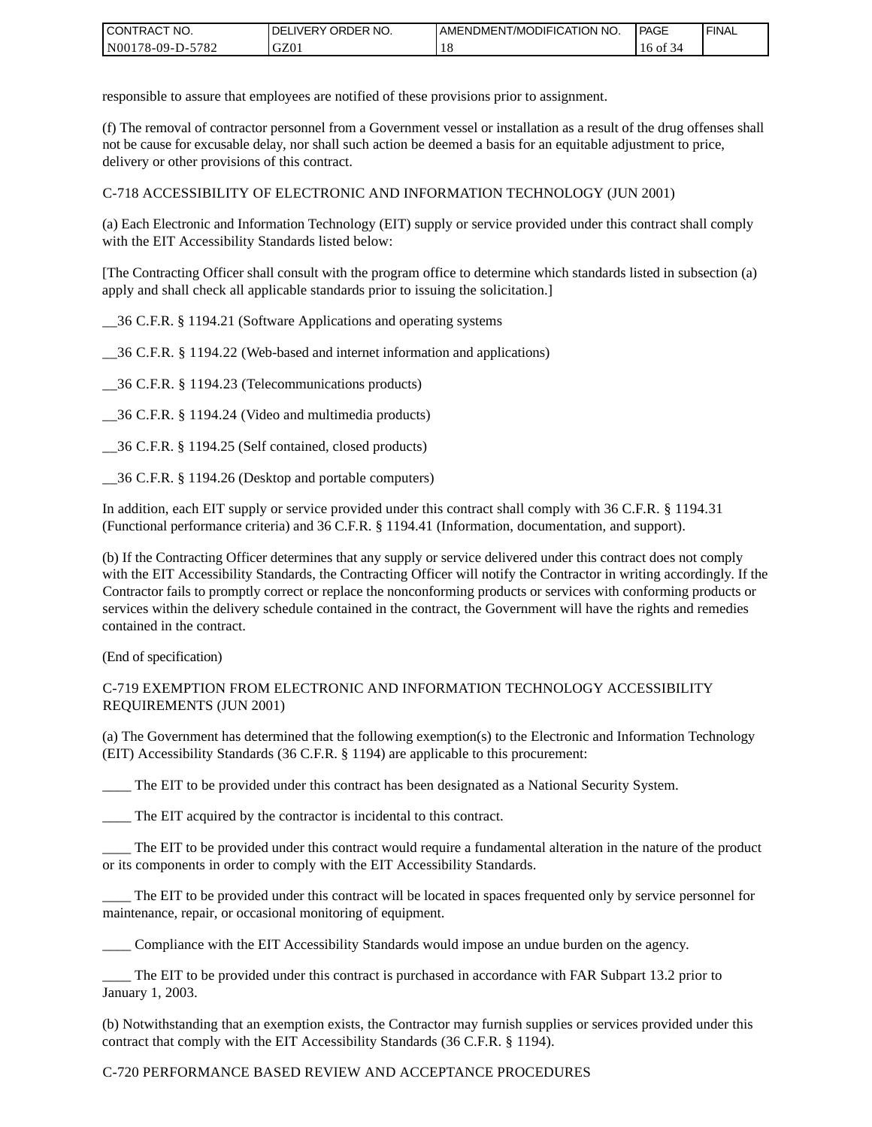| CONTRACT<br>CT NO.                                    | NO.<br>' ORDER<br><b>DELIVERY</b> | AMENDMENT/MODIFICATION NO. | l PAGE | 'FINAL |
|-------------------------------------------------------|-----------------------------------|----------------------------|--------|--------|
| N <sub>001</sub><br>$-5782$<br>*78-09-D- <sub>~</sub> | GZ01                              | 1 O                        | 16 of  |        |

responsible to assure that employees are notified of these provisions prior to assignment.

(f) The removal of contractor personnel from a Government vessel or installation as a result of the drug offenses shall not be cause for excusable delay, nor shall such action be deemed a basis for an equitable adjustment to price, delivery or other provisions of this contract.

C-718 ACCESSIBILITY OF ELECTRONIC AND INFORMATION TECHNOLOGY (JUN 2001)

(a) Each Electronic and Information Technology (EIT) supply or service provided under this contract shall comply with the EIT Accessibility Standards listed below:

[The Contracting Officer shall consult with the program office to determine which standards listed in subsection (a) apply and shall check all applicable standards prior to issuing the solicitation.]

\_\_36 C.F.R. § 1194.21 (Software Applications and operating systems

\_\_36 C.F.R. § 1194.22 (Web-based and internet information and applications)

\_\_36 C.F.R. § 1194.23 (Telecommunications products)

\_\_36 C.F.R. § 1194.24 (Video and multimedia products)

\_\_36 C.F.R. § 1194.25 (Self contained, closed products)

\_\_36 C.F.R. § 1194.26 (Desktop and portable computers)

In addition, each EIT supply or service provided under this contract shall comply with 36 C.F.R. § 1194.31 (Functional performance criteria) and 36 C.F.R. § 1194.41 (Information, documentation, and support).

(b) If the Contracting Officer determines that any supply or service delivered under this contract does not comply with the EIT Accessibility Standards, the Contracting Officer will notify the Contractor in writing accordingly. If the Contractor fails to promptly correct or replace the nonconforming products or services with conforming products or services within the delivery schedule contained in the contract, the Government will have the rights and remedies contained in the contract.

(End of specification)

#### C-719 EXEMPTION FROM ELECTRONIC AND INFORMATION TECHNOLOGY ACCESSIBILITY REQUIREMENTS (JUN 2001)

(a) The Government has determined that the following exemption(s) to the Electronic and Information Technology (EIT) Accessibility Standards (36 C.F.R. § 1194) are applicable to this procurement:

The EIT to be provided under this contract has been designated as a National Security System.

\_\_\_\_ The EIT acquired by the contractor is incidental to this contract.

\_\_\_\_ The EIT to be provided under this contract would require a fundamental alteration in the nature of the product or its components in order to comply with the EIT Accessibility Standards.

The EIT to be provided under this contract will be located in spaces frequented only by service personnel for maintenance, repair, or occasional monitoring of equipment.

\_\_\_\_ Compliance with the EIT Accessibility Standards would impose an undue burden on the agency.

\_\_\_\_ The EIT to be provided under this contract is purchased in accordance with FAR Subpart 13.2 prior to January 1, 2003.

(b) Notwithstanding that an exemption exists, the Contractor may furnish supplies or services provided under this contract that comply with the EIT Accessibility Standards (36 C.F.R. § 1194).

### C-720 PERFORMANCE BASED REVIEW AND ACCEPTANCE PROCEDURES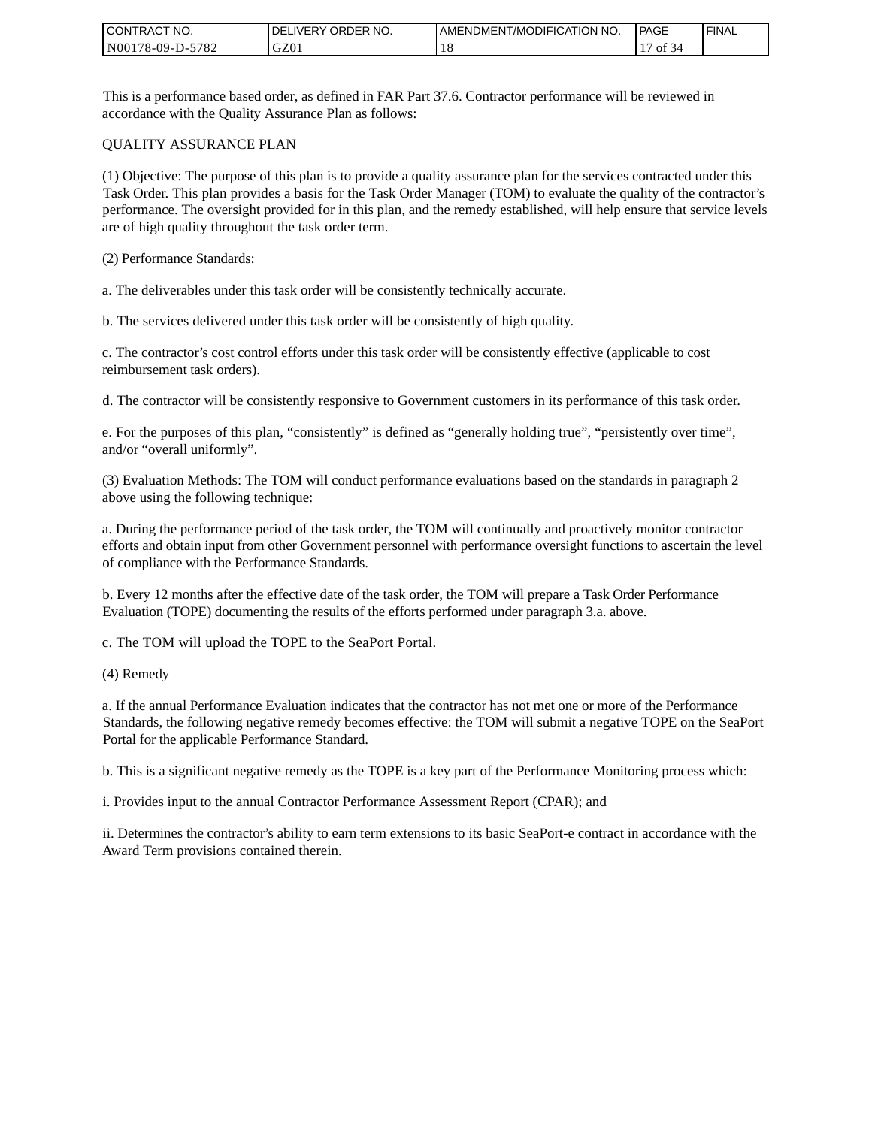| CONTRACT<br>`CT NO. | `NO.<br><b>DELIVERY ORDER</b> | AMENDMENT/MODIFICATION NO. | <b>PAGE</b>         | ' FINAL |
|---------------------|-------------------------------|----------------------------|---------------------|---------|
| N00178-09-D-5782    | GZ01                          | 1 O                        | $\sim$ $\sim$<br>ΟĪ |         |

This is a performance based order, as defined in FAR Part 37.6. Contractor performance will be reviewed in accordance with the Quality Assurance Plan as follows:

#### QUALITY ASSURANCE PLAN

(1) Objective: The purpose of this plan is to provide a quality assurance plan for the services contracted under this Task Order. This plan provides a basis for the Task Order Manager (TOM) to evaluate the quality of the contractor's performance. The oversight provided for in this plan, and the remedy established, will help ensure that service levels are of high quality throughout the task order term.

(2) Performance Standards:

a. The deliverables under this task order will be consistently technically accurate.

b. The services delivered under this task order will be consistently of high quality.

c. The contractor's cost control efforts under this task order will be consistently effective (applicable to cost reimbursement task orders).

d. The contractor will be consistently responsive to Government customers in its performance of this task order.

e. For the purposes of this plan, "consistently" is defined as "generally holding true", "persistently over time", and/or "overall uniformly".

(3) Evaluation Methods: The TOM will conduct performance evaluations based on the standards in paragraph 2 above using the following technique:

a. During the performance period of the task order, the TOM will continually and proactively monitor contractor efforts and obtain input from other Government personnel with performance oversight functions to ascertain the level of compliance with the Performance Standards.

b. Every 12 months after the effective date of the task order, the TOM will prepare a Task Order Performance Evaluation (TOPE) documenting the results of the efforts performed under paragraph 3.a. above.

c. The TOM will upload the TOPE to the SeaPort Portal.

(4) Remedy

a. If the annual Performance Evaluation indicates that the contractor has not met one or more of the Performance Standards, the following negative remedy becomes effective: the TOM will submit a negative TOPE on the SeaPort Portal for the applicable Performance Standard.

b. This is a significant negative remedy as the TOPE is a key part of the Performance Monitoring process which:

i. Provides input to the annual Contractor Performance Assessment Report (CPAR); and

ii. Determines the contractor's ability to earn term extensions to its basic SeaPort-e contract in accordance with the Award Term provisions contained therein.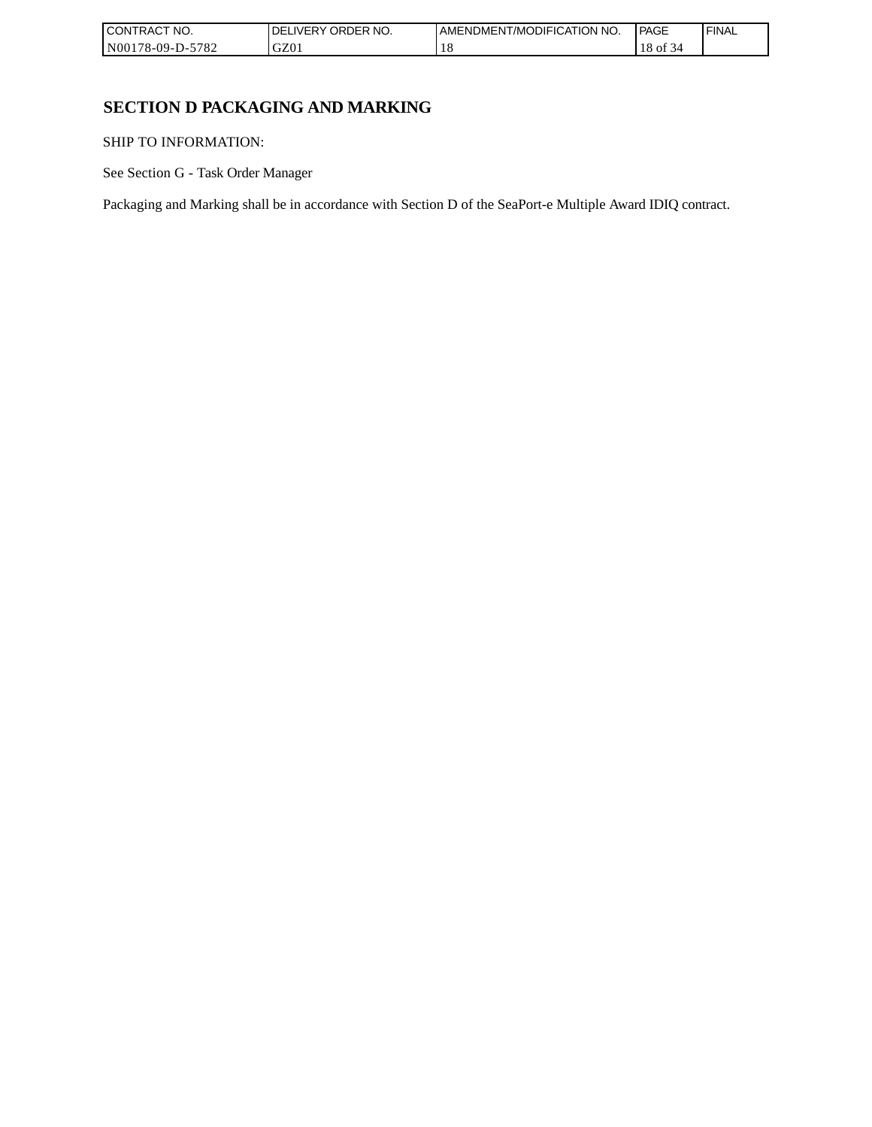| CONTRACT NO.                                 | NO.<br><b>ORDER</b><br><b>IVERY</b><br>DELI | AMENDMENT/MODIFICATION<br>NO. | <b>PAGE</b>                                 | ' FINAL |
|----------------------------------------------|---------------------------------------------|-------------------------------|---------------------------------------------|---------|
| 5782<br>N00 <sub>1</sub><br>`'78-09-L<br>י-ט | GZ01                                        | 1 O                           | 0Ť<br>-14<br>10<br>$\overline{\phantom{a}}$ |         |

# **SECTION D PACKAGING AND MARKING**

SHIP TO INFORMATION:

See Section G - Task Order Manager

Packaging and Marking shall be in accordance with Section D of the SeaPort-e Multiple Award IDIQ contract.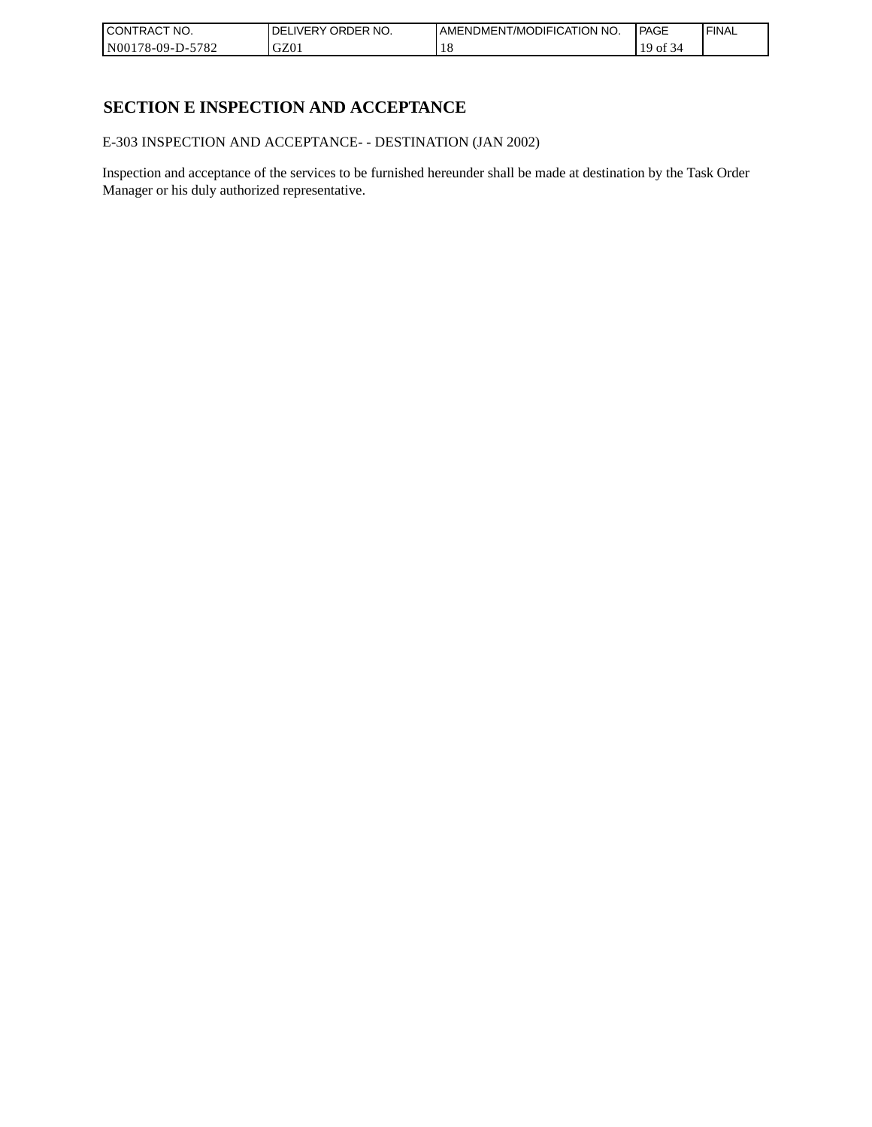| <b>CONTRACT NO.</b>      | `NO.<br>' ORDER<br><b>DELIVERY</b> | AMENDMENT/MODIFICATION NO. | l PAGE                                 | 'FINAL |
|--------------------------|------------------------------------|----------------------------|----------------------------------------|--------|
| $-5782$<br>N00178-09-D-5 | GZ01                               | 1 O                        | $\sim$ $\sim$<br>$\sim$ 1<br><b>OI</b> |        |

# **SECTION E INSPECTION AND ACCEPTANCE**

E-303 INSPECTION AND ACCEPTANCE- - DESTINATION (JAN 2002)

Inspection and acceptance of the services to be furnished hereunder shall be made at destination by the Task Order Manager or his duly authorized representative.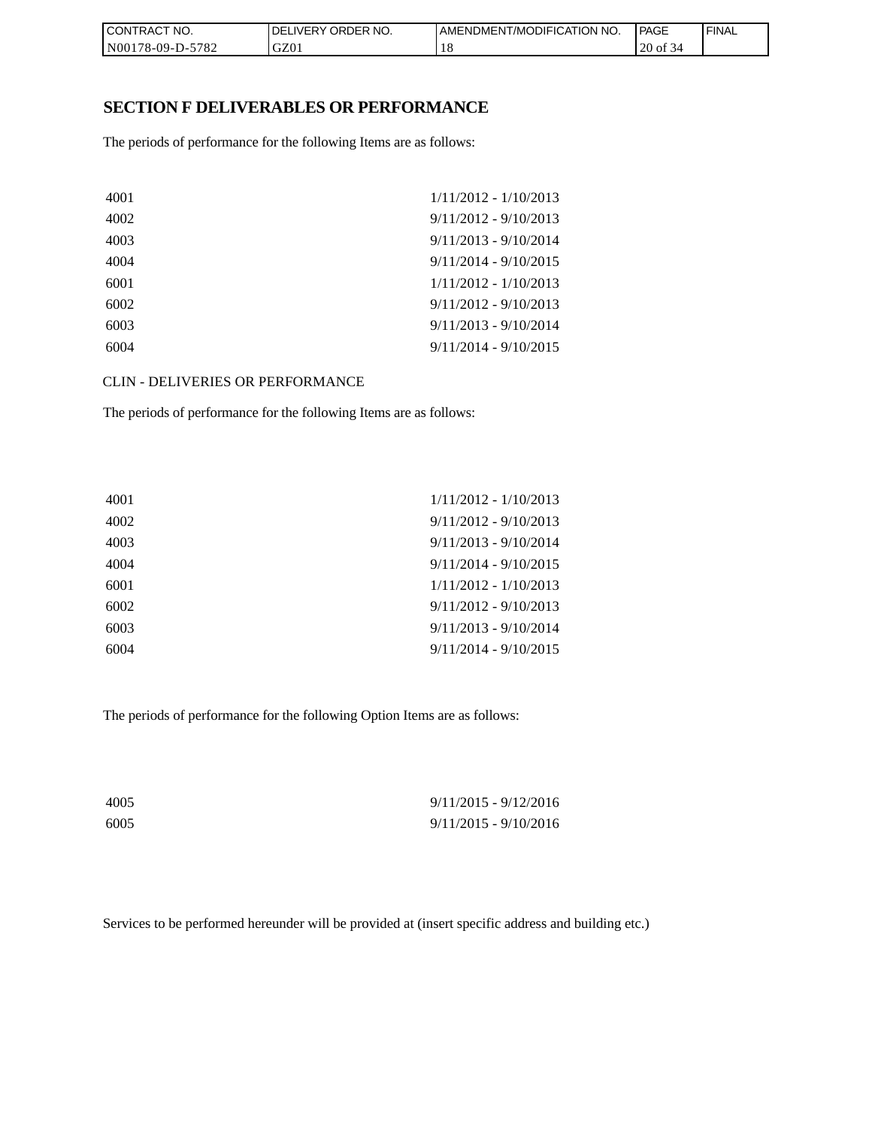| CON <sub>1</sub><br>TRACT NO. | NO.<br><b>DELIVERY ORDER</b> | <b>I AMENDMENT/MODIFICATION NO.</b> | <b>PAGE</b> | ' FINAL |
|-------------------------------|------------------------------|-------------------------------------|-------------|---------|
| N00178-09-D-5782              | GZ01                         | 10                                  | 20 of 34    |         |

## **SECTION F DELIVERABLES OR PERFORMANCE**

The periods of performance for the following Items are as follows:

| $1/11/2012 - 1/10/2013$ |
|-------------------------|
| $9/11/2012 - 9/10/2013$ |
| $9/11/2013 - 9/10/2014$ |
| $9/11/2014 - 9/10/2015$ |
| $1/11/2012 - 1/10/2013$ |
| $9/11/2012 - 9/10/2013$ |
| $9/11/2013 - 9/10/2014$ |
| $9/11/2014 - 9/10/2015$ |
|                         |

CLIN - DELIVERIES OR PERFORMANCE

The periods of performance for the following Items are as follows:

| $1/11/2012 - 1/10/2013$ |
|-------------------------|
| $9/11/2012 - 9/10/2013$ |
| $9/11/2013 - 9/10/2014$ |
| $9/11/2014 - 9/10/2015$ |
| $1/11/2012 - 1/10/2013$ |
| $9/11/2012 - 9/10/2013$ |
| $9/11/2013 - 9/10/2014$ |
| $9/11/2014 - 9/10/2015$ |
|                         |

The periods of performance for the following Option Items are as follows:

| 4005 | $9/11/2015 - 9/12/2016$ |
|------|-------------------------|
| 6005 | $9/11/2015 - 9/10/2016$ |

Services to be performed hereunder will be provided at (insert specific address and building etc.)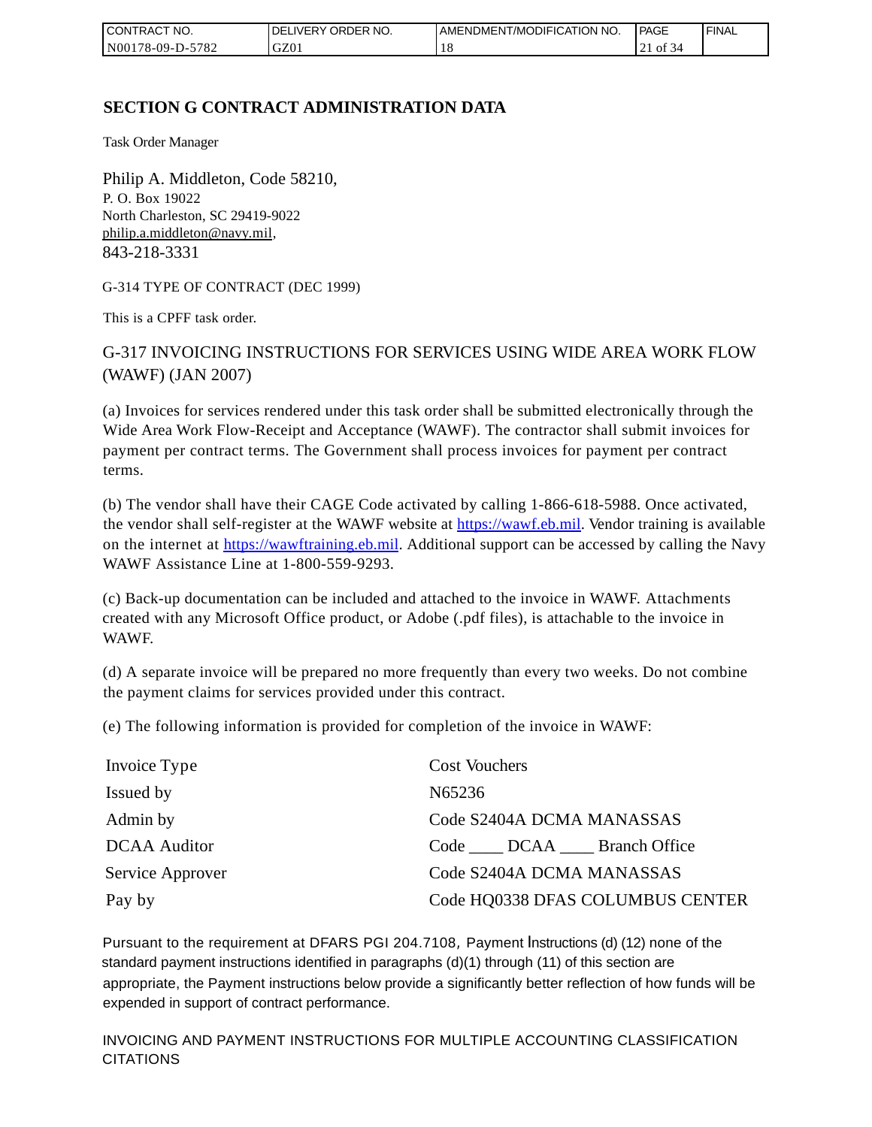| CONTRACT<br>CT NO.              | `NO.<br>' ORDER<br><b>DELIVERY</b> | AMENDMENT/MODIFICATION NO. | l PAGE | <b>FINAL</b> |
|---------------------------------|------------------------------------|----------------------------|--------|--------------|
| $-5782$<br>N001<br>$178-09-D$ - | GZ01                               | 1 O                        | ΟĪ     |              |

# **SECTION G CONTRACT ADMINISTRATION DATA**

Task Order Manager

Philip A. Middleton, Code 58210, P. O. Box 19022 North Charleston, SC 29419-9022 [philip.a.middleton@navy.mil,](mailto:cphilip.a.middleton@navy.mil) 843-218-3331

G-314 TYPE OF CONTRACT (DEC 1999)

This is a CPFF task order.

G-317 INVOICING INSTRUCTIONS FOR SERVICES USING WIDE AREA WORK FLOW (WAWF) (JAN 2007)

(a) Invoices for services rendered under this task order shall be submitted electronically through the Wide Area Work Flow-Receipt and Acceptance (WAWF). The contractor shall submit invoices for payment per contract terms. The Government shall process invoices for payment per contract terms.

(b) The vendor shall have their CAGE Code activated by calling 1-866-618-5988. Once activated, the vendor shall self-register at the WAWF website at [https://wawf.eb.mil.](https://wawf.eb.mil/) Vendor training is available on the internet at [https://wawftraining.eb.mil.](https://wawftraining.eb.mil/) Additional support can be accessed by calling the Navy WAWF Assistance Line at 1-800-559-9293.

(c) Back-up documentation can be included and attached to the invoice in WAWF. Attachments created with any Microsoft Office product, or Adobe (.pdf files), is attachable to the invoice in WAWF.

(d) A separate invoice will be prepared no more frequently than every two weeks. Do not combine the payment claims for services provided under this contract.

(e) The following information is provided for completion of the invoice in WAWF:

| Invoice Type        | <b>Cost Vouchers</b>                |
|---------------------|-------------------------------------|
| Issued by           | N65236                              |
| Admin by            | Code S2404A DCMA MANASSAS           |
| <b>DCAA</b> Auditor | Code _____ DCAA _____ Branch Office |
| Service Approver    | Code S2404A DCMA MANASSAS           |
| Pay by              | Code HQ0338 DFAS COLUMBUS CENTER    |

Pursuant to the requirement at DFARS PGI 204.7108, Payment Instructions (d) (12) none of the standard payment instructions identified in paragraphs (d)(1) through (11) of this section are appropriate, the Payment instructions below provide a significantly better reflection of how funds will be expended in support of contract performance.

INVOICING AND PAYMENT INSTRUCTIONS FOR MULTIPLE ACCOUNTING CLASSIFICATION CITATIONS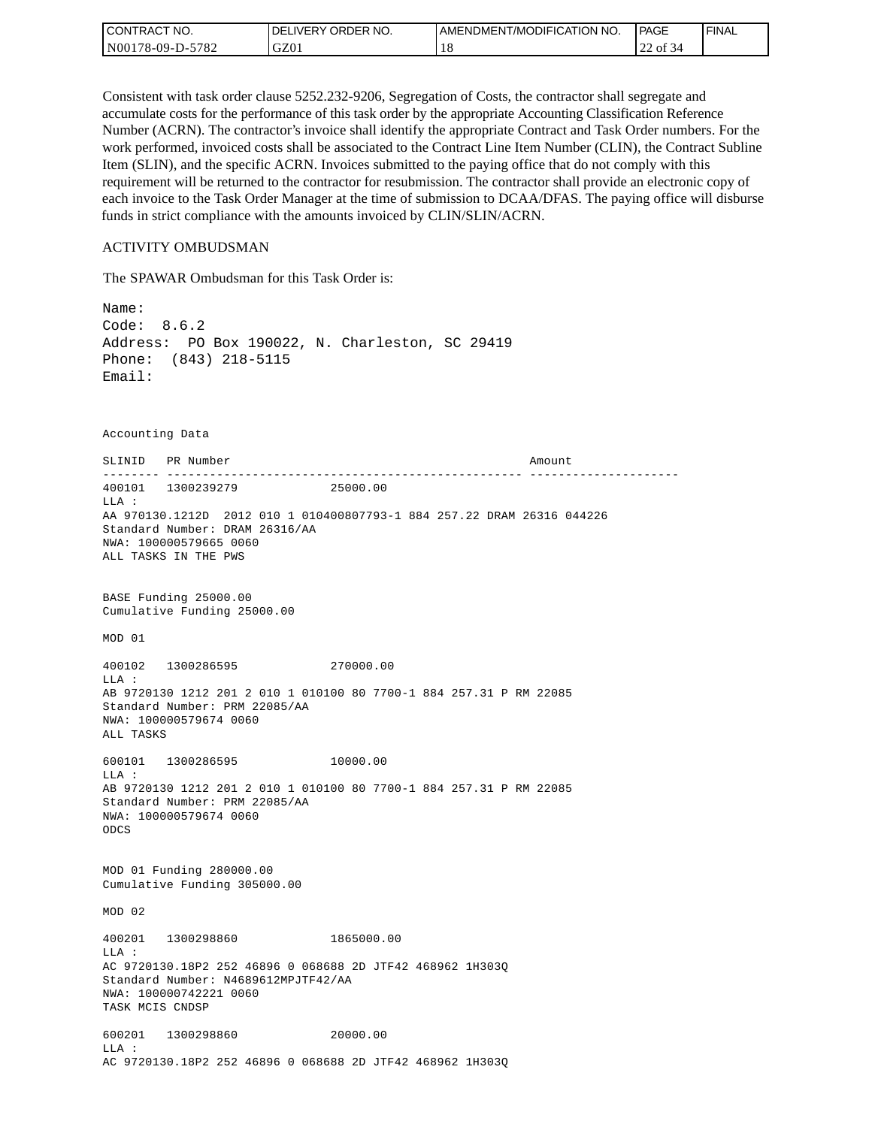| CONTRACT NO.     | <b>IDELIVERY ORDER NO.</b> | AMENDMENT/MODIFICATION NO. | PAGE               | 'FINAL |
|------------------|----------------------------|----------------------------|--------------------|--------|
| N00178-09-D-5782 | GZ01                       |                            | nn.<br>of 34<br>∠∠ |        |

Consistent with task order clause 5252.232-9206, Segregation of Costs, the contractor shall segregate and accumulate costs for the performance of this task order by the appropriate Accounting Classification Reference Number (ACRN). The contractor's invoice shall identify the appropriate Contract and Task Order numbers. For the work performed, invoiced costs shall be associated to the Contract Line Item Number (CLIN), the Contract Subline Item (SLIN), and the specific ACRN. Invoices submitted to the paying office that do not comply with this requirement will be returned to the contractor for resubmission. The contractor shall provide an electronic copy of each invoice to the Task Order Manager at the time of submission to DCAA/DFAS. The paying office will disburse funds in strict compliance with the amounts invoiced by CLIN/SLIN/ACRN.

#### ACTIVITY OMBUDSMAN

The SPAWAR Ombudsman for this Task Order is:

Name: Code: 8.6.2 Address: PO Box 190022, N. Charleston, SC 29419 Phone: (843) 218-5115 Email: Accounting Data SLINID PR Number **Amount** -------- -------------------------------------------------- --------------------- 400101 1300239279 25000.00 LLA : AA 970130.1212D 2012 010 1 010400807793-1 884 257.22 DRAM 26316 044226 Standard Number: DRAM 26316/AA NWA: 100000579665 0060 ALL TASKS IN THE PWS BASE Funding 25000.00 Cumulative Funding 25000.00 MOD 01 400102 1300286595 270000.00 LLA : AB 9720130 1212 201 2 010 1 010100 80 7700-1 884 257.31 P RM 22085 Standard Number: PRM 22085/AA NWA: 100000579674 0060 ALL TASKS 600101 1300286595 10000.00 LLA : AB 9720130 1212 201 2 010 1 010100 80 7700-1 884 257.31 P RM 22085 Standard Number: PRM 22085/AA NWA: 100000579674 0060 ODCS MOD 01 Funding 280000.00 Cumulative Funding 305000.00 MOD 02 400201 1300298860 1865000.00  $T.T.A$  : AC 9720130.18P2 252 46896 0 068688 2D JTF42 468962 1H303Q Standard Number: N4689612MPJTF42/AA NWA: 100000742221 0060 TASK MCIS CNDSP 600201 1300298860 20000.00 LLA : AC 9720130.18P2 252 46896 0 068688 2D JTF42 468962 1H303Q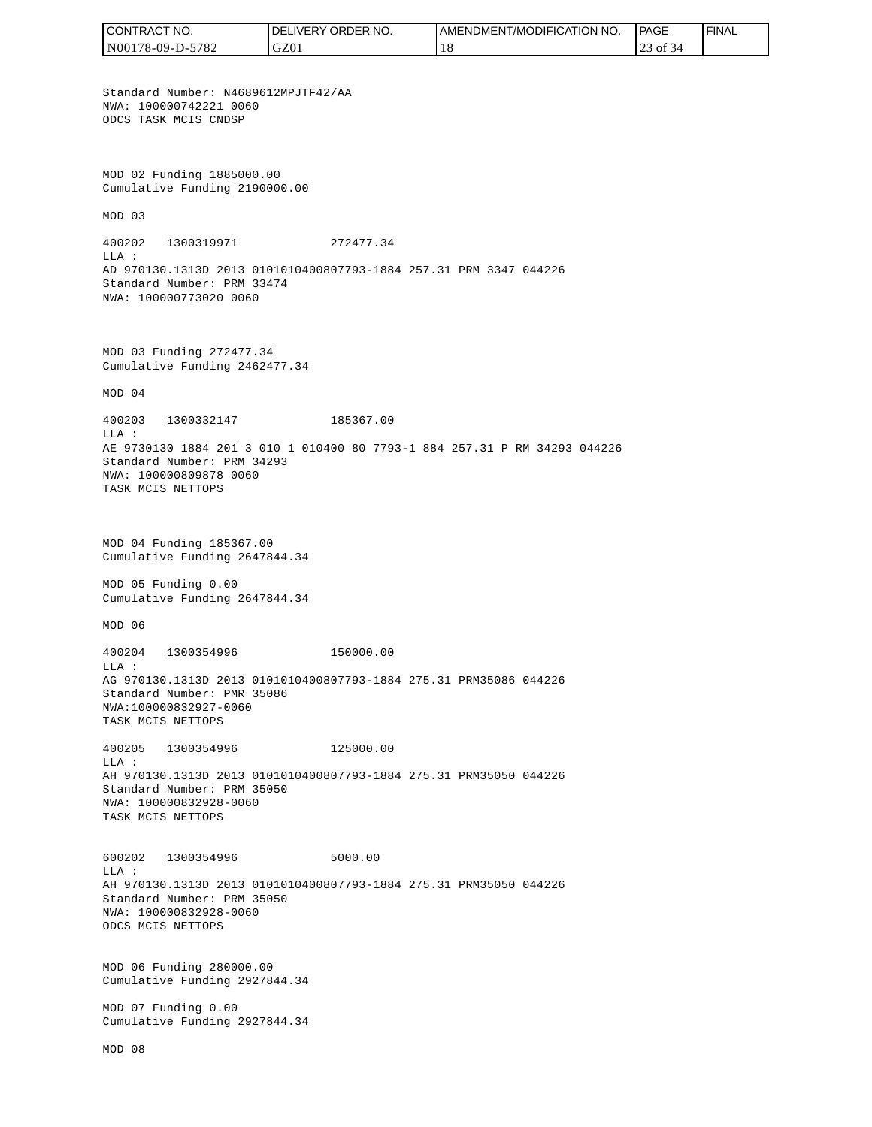CONTRACT NO. DELIVERY ORDER NO. AMENDMENT/MODIFICATION NO. **PAGE**  FINALCONTRACT NO.<br>NO0178-09-D-5<br>Standard Numb<br>NMA: 10000074<br>ODCS TASK MCI<br>ODCS TASK MCI<br>NMA: 10000074<br>ODCS TASK MCI<br>Cumulative Fu<br>MOD 03<br>400202 1300<br>LLA:<br>AD 970130.131<br>Standard Numb<br>NMA: 10000080<br>TASK MCIS NET<br>NMA: 1000080<br>TASK N00178-09-D-5782 GZ01 18 23 of 34 Standard Number: N4689612MPJTF42/AA NWA: 100000742221 0060 ODCS TASK MCIS CNDSP MOD 02 Funding 1885000.00 Cumulative Funding 2190000.00 MOD 03 400202 1300319971 272477.34  $T.T.A$  : AD 970130.1313D 2013 0101010400807793-1884 257.31 PRM 3347 044226 Standard Number: PRM 33474 NWA: 100000773020 0060 MOD 03 Funding 272477.34 Cumulative Funding 2462477.34 MOD 04 400203 1300332147 185367.00 LLA : AE 9730130 1884 201 3 010 1 010400 80 7793-1 884 257.31 P RM 34293 044226 Standard Number: PRM 34293 NWA: 100000809878 0060 TASK MCIS NETTOPS MOD 04 Funding 185367.00 Cumulative Funding 2647844.34 MOD 05 Funding 0.00 Cumulative Funding 2647844.34 MOD 06 400204 1300354996 150000.00  $T.T.A$  : AG 970130.1313D 2013 0101010400807793-1884 275.31 PRM35086 044226 Standard Number: PMR 35086 NWA:100000832927-0060 TASK MCIS NETTOPS 400205 1300354996 125000.00 LLA : AH 970130.1313D 2013 0101010400807793-1884 275.31 PRM35050 044226 Standard Number: PRM 35050 NWA: 100000832928-0060 TASK MCIS NETTOPS 600202 1300354996 5000.00 LLA : AH 970130.1313D 2013 0101010400807793-1884 275.31 PRM35050 044226 Standard Number: PRM 35050 NWA: 100000832928-0060 ODCS MCIS NETTOPS MOD 06 Funding 280000.00 Cumulative Funding 2927844.34 MOD 07 Funding 0.00 Cumulative Funding 2927844.34 MOD 08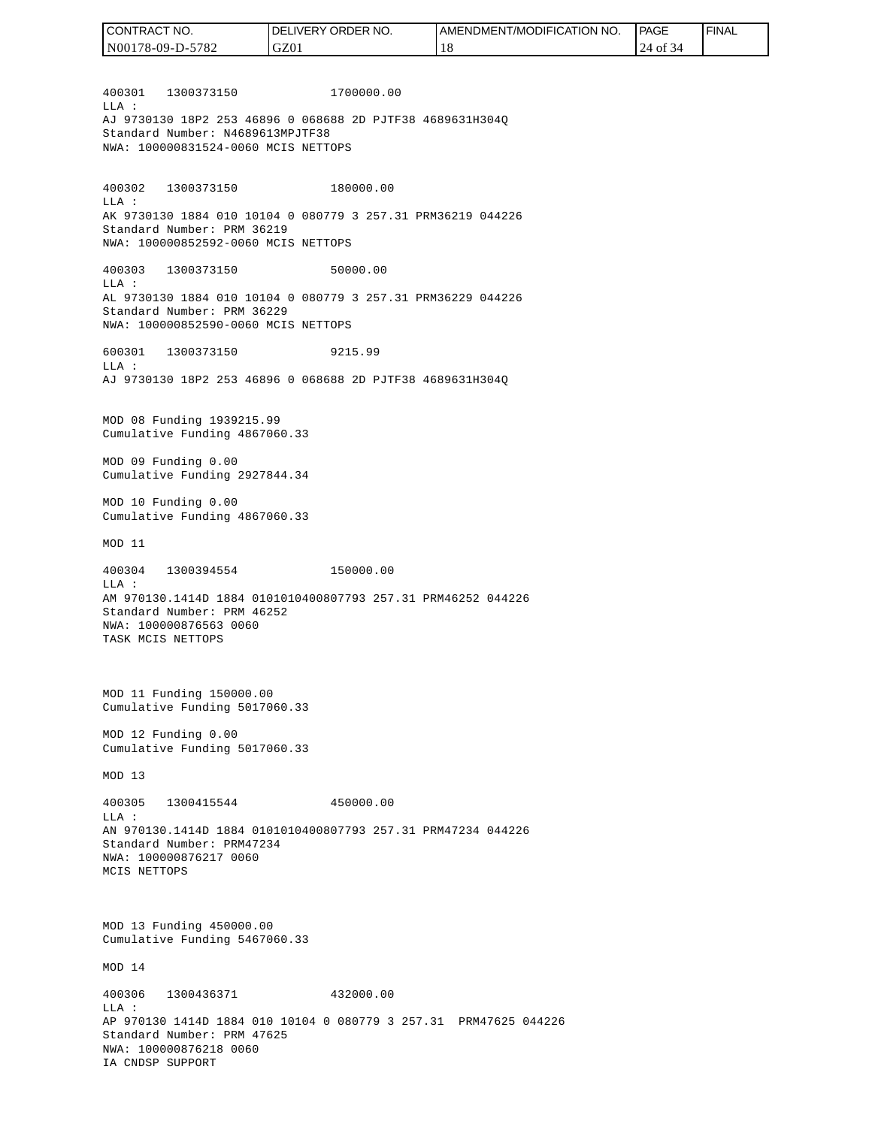400301 1300373150 1700000.00  $T.T.A$  : AJ 9730130 18P2 253 46896 0 068688 2D PJTF38 4689631H304Q Standard Number: N4689613MPJTF38 NWA: 100000831524-0060 MCIS NETTOPS 400302 1300373150 180000.00 LLA : AK 9730130 1884 010 10104 0 080779 3 257.31 PRM36219 044226 Standard Number: PRM 36219 NWA: 100000852592-0060 MCIS NETTOPS 400303 1300373150 50000.00 LLA : AL 9730130 1884 010 10104 0 080779 3 257.31 PRM36229 044226 Standard Number: PRM 36229 NWA: 100000852590-0060 MCIS NETTOPS 600301 1300373150 9215.99  $T.T.A$  : AJ 9730130 18P2 253 46896 0 068688 2D PJTF38 4689631H304Q MOD 08 Funding 1939215.99 Cumulative Funding 4867060.33 MOD 09 Funding 0.00 Cumulative Funding 2927844.34 MOD 10 Funding 0.00 Cumulative Funding 4867060.33 MOD 11 400304 1300394554 150000.00 LLA : AM 970130.1414D 1884 0101010400807793 257.31 PRM46252 044226 Standard Number: PRM 46252 NWA: 100000876563 0060 TASK MCIS NETTOPS MOD 11 Funding 150000.00 Cumulative Funding 5017060.33 MOD 12 Funding 0.00 Cumulative Funding 5017060.33 MOD 13 400305 1300415544 450000.00  $T.T.A$  : AN 970130.1414D 1884 0101010400807793 257.31 PRM47234 044226 Standard Number: PRM47234 NWA: 100000876217 0060 MCIS NETTOPS MOD 13 Funding 450000.00 Cumulative Funding 5467060.33 MOD 14 400306 1300436371 432000.00  $L.L.A$  : AP 970130 1414D 1884 010 10104 0 080779 3 257.31 PRM47625 044226 Standard Number: PRM 47625 NWA: 100000876218 0060 IA CNDSP SUPPORT CONTRACT NO. N00178-09-D-5782 DELIVERY ORDER NO. GZ01 AMENDMENT/MODIFICATION NO. 18 **PAGE**  24 of 34 FINAL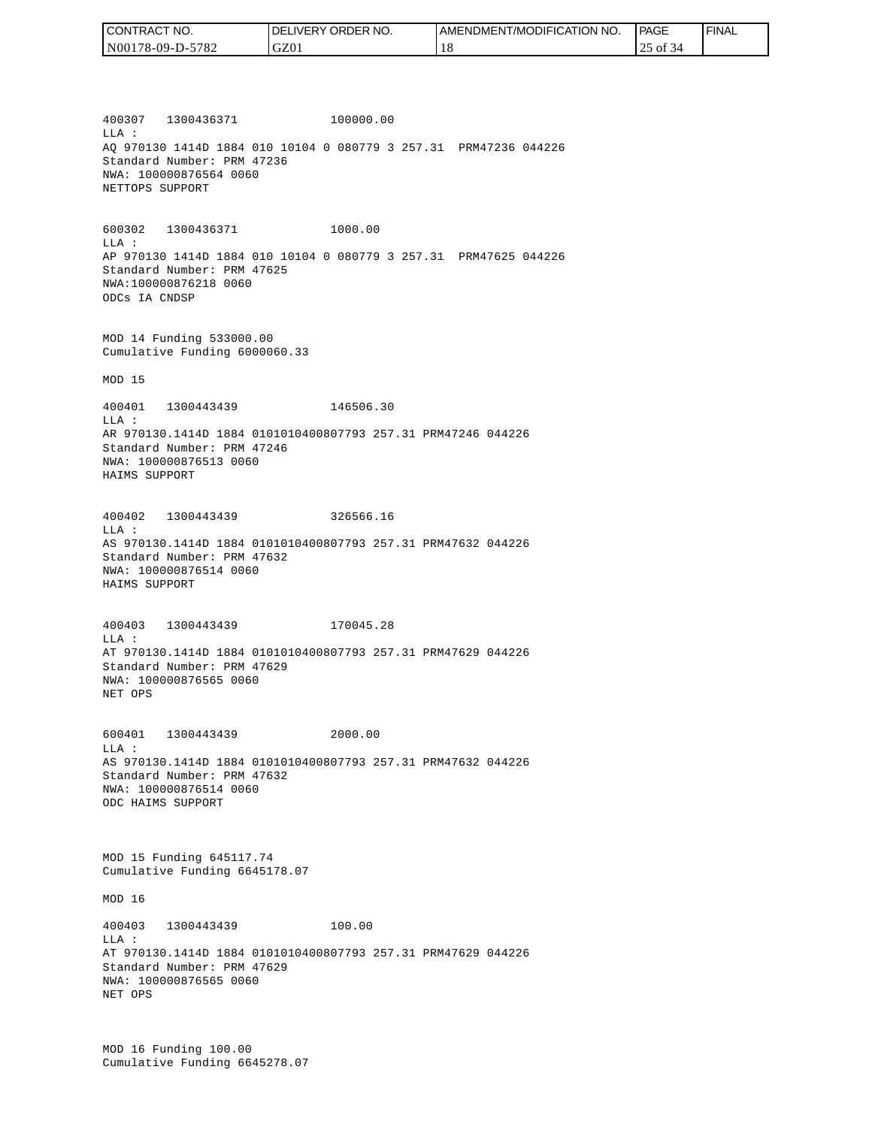| CONTRACT NO.     | <b>IDELIVERY ORDER NO.</b> | I AMENDMENT/MODIFICATION NO. | PAGE        | ' FINAL |
|------------------|----------------------------|------------------------------|-------------|---------|
| N00178-09-D-5782 | GZ01                       | 10                           | of 34<br>-- |         |

400307 1300436371 100000.00 LLA : AQ 970130 1414D 1884 010 10104 0 080779 3 257.31 PRM47236 044226 Standard Number: PRM 47236 NWA: 100000876564 0060 NETTOPS SUPPORT

600302 1300436371 1000.00 LLA : AP 970130 1414D 1884 010 10104 0 080779 3 257.31 PRM47625 044226 Standard Number: PRM 47625 NWA:100000876218 0060 ODCs IA CNDSP

MOD 14 Funding 533000.00 Cumulative Funding 6000060.33

MOD 15

400401 1300443439 146506.30 LLA : AR 970130.1414D 1884 0101010400807793 257.31 PRM47246 044226 Standard Number: PRM 47246 NWA: 100000876513 0060 HAIMS SUPPORT

400402 1300443439 326566.16 LLA : AS 970130.1414D 1884 0101010400807793 257.31 PRM47632 044226 Standard Number: PRM 47632 NWA: 100000876514 0060 HAIMS SUPPORT

400403 1300443439 170045.28 LLA : AT 970130.1414D 1884 0101010400807793 257.31 PRM47629 044226 Standard Number: PRM 47629 NWA: 100000876565 0060 NET OPS

600401 1300443439 2000.00  $L.L.A$  : AS 970130.1414D 1884 0101010400807793 257.31 PRM47632 044226 Standard Number: PRM 47632 NWA: 100000876514 0060 ODC HAIMS SUPPORT

MOD 15 Funding 645117.74 Cumulative Funding 6645178.07

MOD 16

400403 1300443439 100.00 LLA : AT 970130.1414D 1884 0101010400807793 257.31 PRM47629 044226 Standard Number: PRM 47629 NWA: 100000876565 0060 NET OPS

MOD 16 Funding 100.00 Cumulative Funding 6645278.07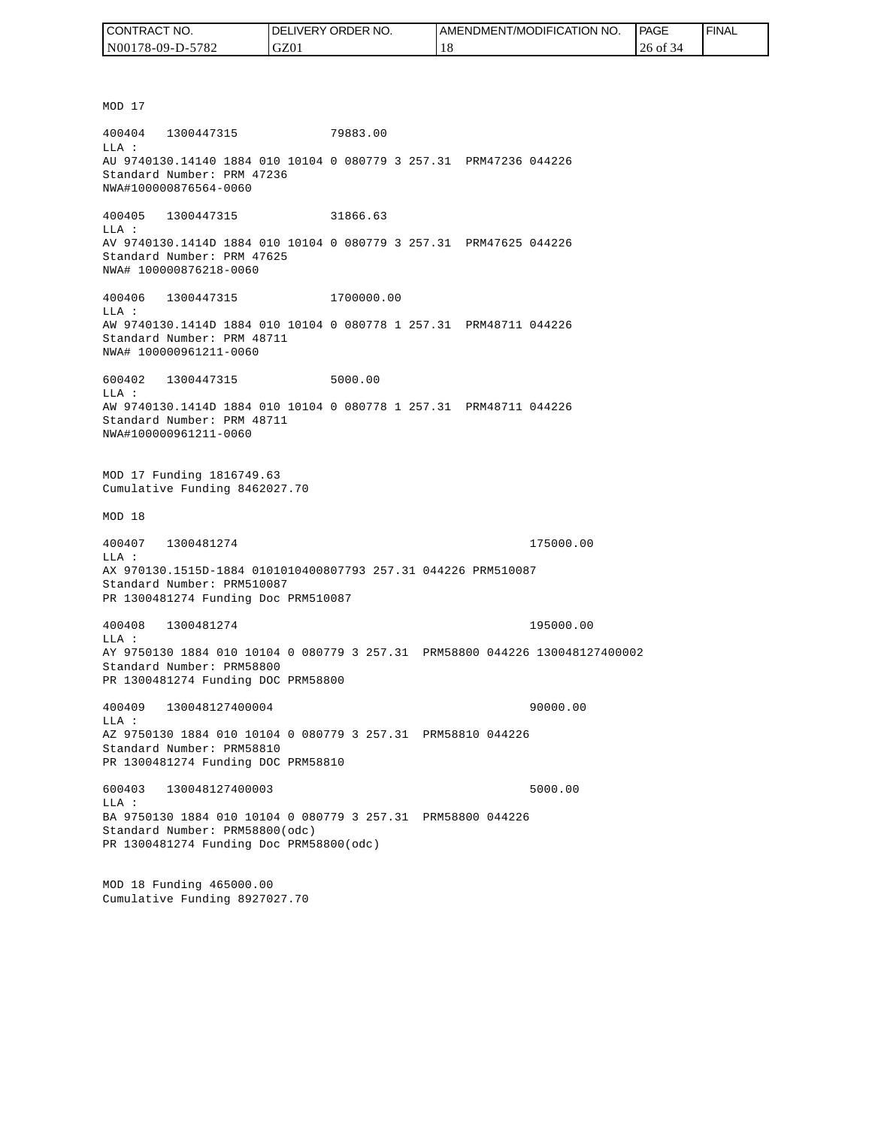| I CONTRACT NO.   | NO.<br>DELIVERY ORDER | AMENDMENT/MODIFICATION NO. | PAGE         | ' FINAL |
|------------------|-----------------------|----------------------------|--------------|---------|
| N00178-09-D-5782 | GZ0                   |                            | 26 of<br>-54 |         |

MOD 17 400404 1300447315 79883.00 LLA : AU 9740130.14140 1884 010 10104 0 080779 3 257.31 PRM47236 044226 Standard Number: PRM 47236 NWA#100000876564-0060 400405 1300447315 31866.63 LLA : AV 9740130.1414D 1884 010 10104 0 080779 3 257.31 PRM47625 044226 Standard Number: PRM 47625 NWA# 100000876218-0060 400406 1300447315 1700000.00 LLA : AW 9740130.1414D 1884 010 10104 0 080778 1 257.31 PRM48711 044226 Standard Number: PRM 48711 NWA# 100000961211-0060 600402 1300447315 5000.00 LLA : AW 9740130.1414D 1884 010 10104 0 080778 1 257.31 PRM48711 044226 Standard Number: PRM 48711 NWA#100000961211-0060 MOD 17 Funding 1816749.63 Cumulative Funding 8462027.70 MOD 18 400407 1300481274 175000.00 LLA : AX 970130.1515D-1884 0101010400807793 257.31 044226 PRM510087 Standard Number: PRM510087 PR 1300481274 Funding Doc PRM510087 400408 1300481274 195000.00 LLA : AY 9750130 1884 010 10104 0 080779 3 257.31 PRM58800 044226 130048127400002 Standard Number: PRM58800 PR 1300481274 Funding DOC PRM58800 400409 130048127400004 90000.00 LLA : AZ 9750130 1884 010 10104 0 080779 3 257.31 PRM58810 044226 Standard Number: PRM58810 PR 1300481274 Funding DOC PRM58810 600403 130048127400003 5000.00 LLA : BA 9750130 1884 010 10104 0 080779 3 257.31 PRM58800 044226 Standard Number: PRM58800(odc) PR 1300481274 Funding Doc PRM58800(odc) MOD 18 Funding 465000.00

Cumulative Funding 8927027.70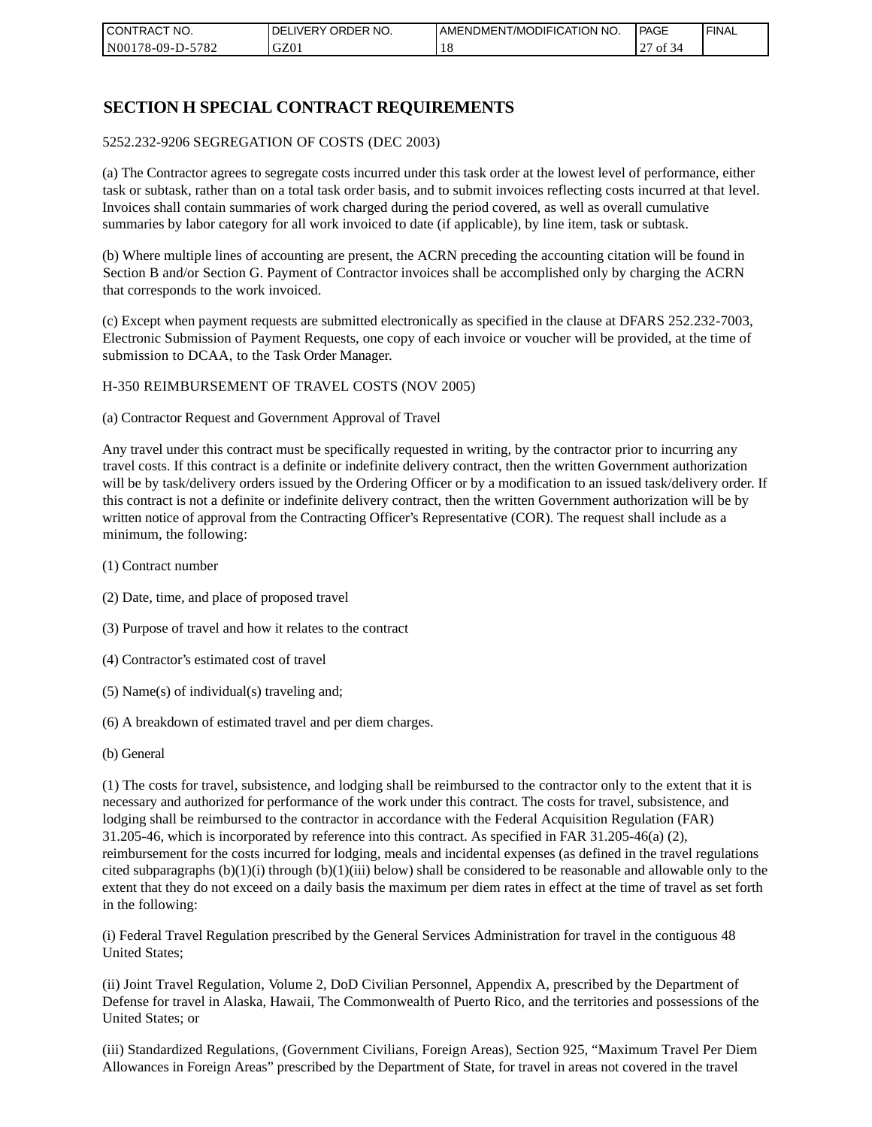| I CONTRACT NO.   | NO.<br>DELIVERY ORDER | AMENDMENT/MODIFICATION NO. | PAGE                       | ' FINAL |
|------------------|-----------------------|----------------------------|----------------------------|---------|
| N00178-09-D-5782 | GZ01                  |                            | $\sim$<br>0Ť<br>-54<br>ا ت |         |

# **SECTION H SPECIAL CONTRACT REQUIREMENTS**

#### 5252.232-9206 SEGREGATION OF COSTS (DEC 2003)

(a) The Contractor agrees to segregate costs incurred under this task order at the lowest level of performance, either task or subtask, rather than on a total task order basis, and to submit invoices reflecting costs incurred at that level. Invoices shall contain summaries of work charged during the period covered, as well as overall cumulative summaries by labor category for all work invoiced to date (if applicable), by line item, task or subtask.

(b) Where multiple lines of accounting are present, the ACRN preceding the accounting citation will be found in Section B and/or Section G. Payment of Contractor invoices shall be accomplished only by charging the ACRN that corresponds to the work invoiced.

(c) Except when payment requests are submitted electronically as specified in the clause at DFARS 252.232-7003, Electronic Submission of Payment Requests, one copy of each invoice or voucher will be provided, at the time of submission to DCAA, to the Task Order Manager.

#### H-350 REIMBURSEMENT OF TRAVEL COSTS (NOV 2005)

(a) Contractor Request and Government Approval of Travel

Any travel under this contract must be specifically requested in writing, by the contractor prior to incurring any travel costs. If this contract is a definite or indefinite delivery contract, then the written Government authorization will be by task/delivery orders issued by the Ordering Officer or by a modification to an issued task/delivery order. If this contract is not a definite or indefinite delivery contract, then the written Government authorization will be by written notice of approval from the Contracting Officer's Representative (COR). The request shall include as a minimum, the following:

- (1) Contract number
- (2) Date, time, and place of proposed travel
- (3) Purpose of travel and how it relates to the contract
- (4) Contractor's estimated cost of travel
- (5) Name(s) of individual(s) traveling and;
- (6) A breakdown of estimated travel and per diem charges.
- (b) General

(1) The costs for travel, subsistence, and lodging shall be reimbursed to the contractor only to the extent that it is necessary and authorized for performance of the work under this contract. The costs for travel, subsistence, and lodging shall be reimbursed to the contractor in accordance with the Federal Acquisition Regulation (FAR) 31.205-46, which is incorporated by reference into this contract. As specified in FAR 31.205-46(a) (2), reimbursement for the costs incurred for lodging, meals and incidental expenses (as defined in the travel regulations cited subparagraphs  $(b)(1)(i)$  through  $(b)(1)(iii)$  below) shall be considered to be reasonable and allowable only to the extent that they do not exceed on a daily basis the maximum per diem rates in effect at the time of travel as set forth in the following:

(i) Federal Travel Regulation prescribed by the General Services Administration for travel in the contiguous 48 United States;

(ii) Joint Travel Regulation, Volume 2, DoD Civilian Personnel, Appendix A, prescribed by the Department of Defense for travel in Alaska, Hawaii, The Commonwealth of Puerto Rico, and the territories and possessions of the United States; or

(iii) Standardized Regulations, (Government Civilians, Foreign Areas), Section 925, "Maximum Travel Per Diem Allowances in Foreign Areas" prescribed by the Department of State, for travel in areas not covered in the travel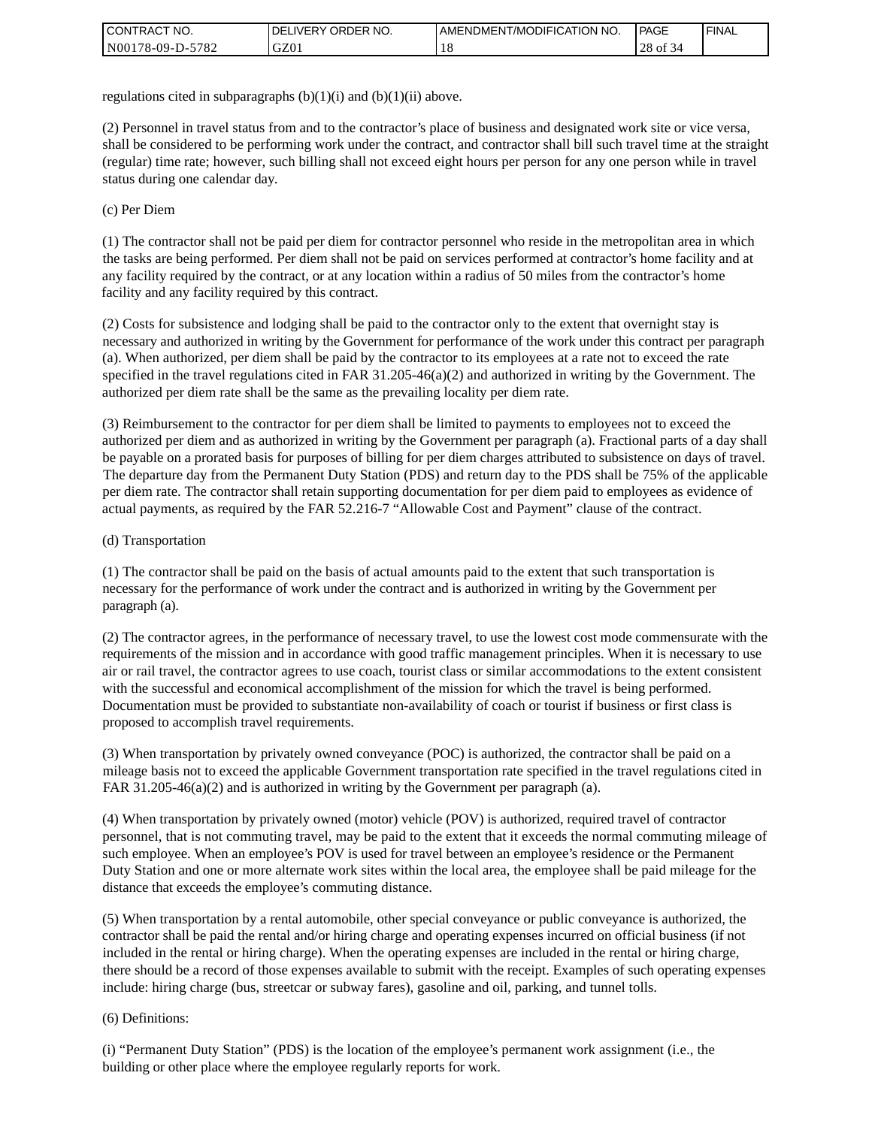| I CONTRACT NO.   | ' ORDER NO.<br><b>DELIVERY</b> | I AMENDMENT/MODIFICATION NO. | <b>PAGE</b>    | <b>I FINAL</b> |
|------------------|--------------------------------|------------------------------|----------------|----------------|
| N00178-09-D-5782 | GZ01                           | - 11 C                       | 28<br>οt<br>٬4 |                |

regulations cited in subparagraphs  $(b)(1)(i)$  and  $(b)(1)(ii)$  above.

(2) Personnel in travel status from and to the contractor's place of business and designated work site or vice versa, shall be considered to be performing work under the contract, and contractor shall bill such travel time at the straight (regular) time rate; however, such billing shall not exceed eight hours per person for any one person while in travel status during one calendar day.

(c) Per Diem

(1) The contractor shall not be paid per diem for contractor personnel who reside in the metropolitan area in which the tasks are being performed. Per diem shall not be paid on services performed at contractor's home facility and at any facility required by the contract, or at any location within a radius of 50 miles from the contractor's home facility and any facility required by this contract.

(2) Costs for subsistence and lodging shall be paid to the contractor only to the extent that overnight stay is necessary and authorized in writing by the Government for performance of the work under this contract per paragraph (a). When authorized, per diem shall be paid by the contractor to its employees at a rate not to exceed the rate specified in the travel regulations cited in FAR 31.205-46(a)(2) and authorized in writing by the Government. The authorized per diem rate shall be the same as the prevailing locality per diem rate.

(3) Reimbursement to the contractor for per diem shall be limited to payments to employees not to exceed the authorized per diem and as authorized in writing by the Government per paragraph (a). Fractional parts of a day shall be payable on a prorated basis for purposes of billing for per diem charges attributed to subsistence on days of travel. The departure day from the Permanent Duty Station (PDS) and return day to the PDS shall be 75% of the applicable per diem rate. The contractor shall retain supporting documentation for per diem paid to employees as evidence of actual payments, as required by the FAR 52.216-7 "Allowable Cost and Payment" clause of the contract.

### (d) Transportation

(1) The contractor shall be paid on the basis of actual amounts paid to the extent that such transportation is necessary for the performance of work under the contract and is authorized in writing by the Government per paragraph (a).

(2) The contractor agrees, in the performance of necessary travel, to use the lowest cost mode commensurate with the requirements of the mission and in accordance with good traffic management principles. When it is necessary to use air or rail travel, the contractor agrees to use coach, tourist class or similar accommodations to the extent consistent with the successful and economical accomplishment of the mission for which the travel is being performed. Documentation must be provided to substantiate non-availability of coach or tourist if business or first class is proposed to accomplish travel requirements.

(3) When transportation by privately owned conveyance (POC) is authorized, the contractor shall be paid on a mileage basis not to exceed the applicable Government transportation rate specified in the travel regulations cited in FAR 31.205-46(a)(2) and is authorized in writing by the Government per paragraph (a).

(4) When transportation by privately owned (motor) vehicle (POV) is authorized, required travel of contractor personnel, that is not commuting travel, may be paid to the extent that it exceeds the normal commuting mileage of such employee. When an employee's POV is used for travel between an employee's residence or the Permanent Duty Station and one or more alternate work sites within the local area, the employee shall be paid mileage for the distance that exceeds the employee's commuting distance.

(5) When transportation by a rental automobile, other special conveyance or public conveyance is authorized, the contractor shall be paid the rental and/or hiring charge and operating expenses incurred on official business (if not included in the rental or hiring charge). When the operating expenses are included in the rental or hiring charge, there should be a record of those expenses available to submit with the receipt. Examples of such operating expenses include: hiring charge (bus, streetcar or subway fares), gasoline and oil, parking, and tunnel tolls.

#### (6) Definitions:

(i) "Permanent Duty Station" (PDS) is the location of the employee's permanent work assignment (i.e., the building or other place where the employee regularly reports for work.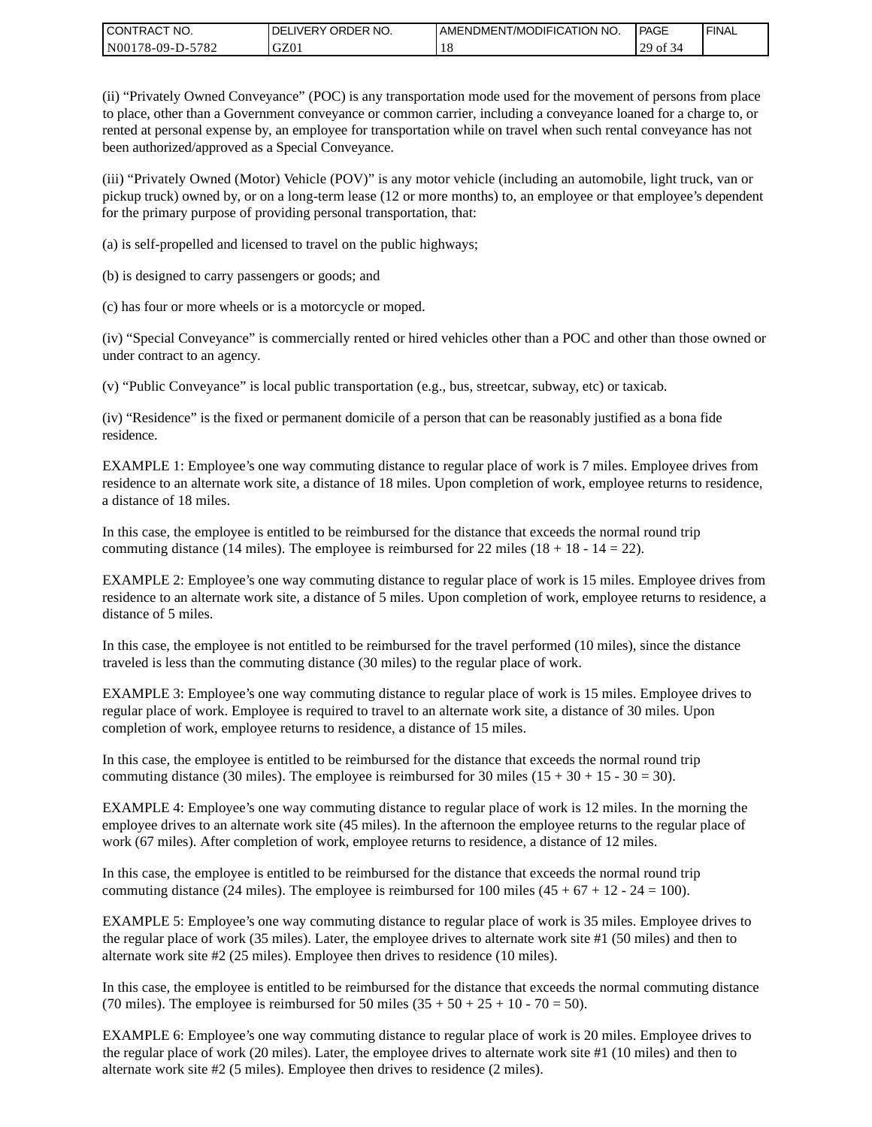| CONTRACT<br>CT NO.                          | ORDER<br>NO.<br><b>DELIVERY</b> | I AMENDMENT/MODIFICATION NO. | PAGE                | <b>I FINAL</b> |
|---------------------------------------------|---------------------------------|------------------------------|---------------------|----------------|
| $-5782$<br>N <sub>001</sub><br>$178-09-D$ - | GZ01                            | . O                          | 20<br>ΟĪ<br>۱Δ<br>◡ |                |

(ii) "Privately Owned Conveyance" (POC) is any transportation mode used for the movement of persons from place to place, other than a Government conveyance or common carrier, including a conveyance loaned for a charge to, or rented at personal expense by, an employee for transportation while on travel when such rental conveyance has not been authorized/approved as a Special Conveyance.

(iii) "Privately Owned (Motor) Vehicle (POV)" is any motor vehicle (including an automobile, light truck, van or pickup truck) owned by, or on a long-term lease (12 or more months) to, an employee or that employee's dependent for the primary purpose of providing personal transportation, that:

(a) is self-propelled and licensed to travel on the public highways;

(b) is designed to carry passengers or goods; and

(c) has four or more wheels or is a motorcycle or moped.

(iv) "Special Conveyance" is commercially rented or hired vehicles other than a POC and other than those owned or under contract to an agency.

(v) "Public Conveyance" is local public transportation (e.g., bus, streetcar, subway, etc) or taxicab.

(iv) "Residence" is the fixed or permanent domicile of a person that can be reasonably justified as a bona fide residence.

EXAMPLE 1: Employee's one way commuting distance to regular place of work is 7 miles. Employee drives from residence to an alternate work site, a distance of 18 miles. Upon completion of work, employee returns to residence, a distance of 18 miles.

In this case, the employee is entitled to be reimbursed for the distance that exceeds the normal round trip commuting distance (14 miles). The employee is reimbursed for 22 miles (18 + 18 - 14 = 22).

EXAMPLE 2: Employee's one way commuting distance to regular place of work is 15 miles. Employee drives from residence to an alternate work site, a distance of 5 miles. Upon completion of work, employee returns to residence, a distance of 5 miles.

In this case, the employee is not entitled to be reimbursed for the travel performed (10 miles), since the distance traveled is less than the commuting distance (30 miles) to the regular place of work.

EXAMPLE 3: Employee's one way commuting distance to regular place of work is 15 miles. Employee drives to regular place of work. Employee is required to travel to an alternate work site, a distance of 30 miles. Upon completion of work, employee returns to residence, a distance of 15 miles.

In this case, the employee is entitled to be reimbursed for the distance that exceeds the normal round trip commuting distance (30 miles). The employee is reimbursed for 30 miles  $(15 + 30 + 15 - 30 = 30)$ .

EXAMPLE 4: Employee's one way commuting distance to regular place of work is 12 miles. In the morning the employee drives to an alternate work site (45 miles). In the afternoon the employee returns to the regular place of work (67 miles). After completion of work, employee returns to residence, a distance of 12 miles.

In this case, the employee is entitled to be reimbursed for the distance that exceeds the normal round trip commuting distance (24 miles). The employee is reimbursed for 100 miles  $(45 + 67 + 12 - 24 = 100)$ .

EXAMPLE 5: Employee's one way commuting distance to regular place of work is 35 miles. Employee drives to the regular place of work (35 miles). Later, the employee drives to alternate work site #1 (50 miles) and then to alternate work site #2 (25 miles). Employee then drives to residence (10 miles).

In this case, the employee is entitled to be reimbursed for the distance that exceeds the normal commuting distance (70 miles). The employee is reimbursed for 50 miles  $(35 + 50 + 25 + 10 - 70 = 50)$ .

EXAMPLE 6: Employee's one way commuting distance to regular place of work is 20 miles. Employee drives to the regular place of work (20 miles). Later, the employee drives to alternate work site #1 (10 miles) and then to alternate work site #2 (5 miles). Employee then drives to residence (2 miles).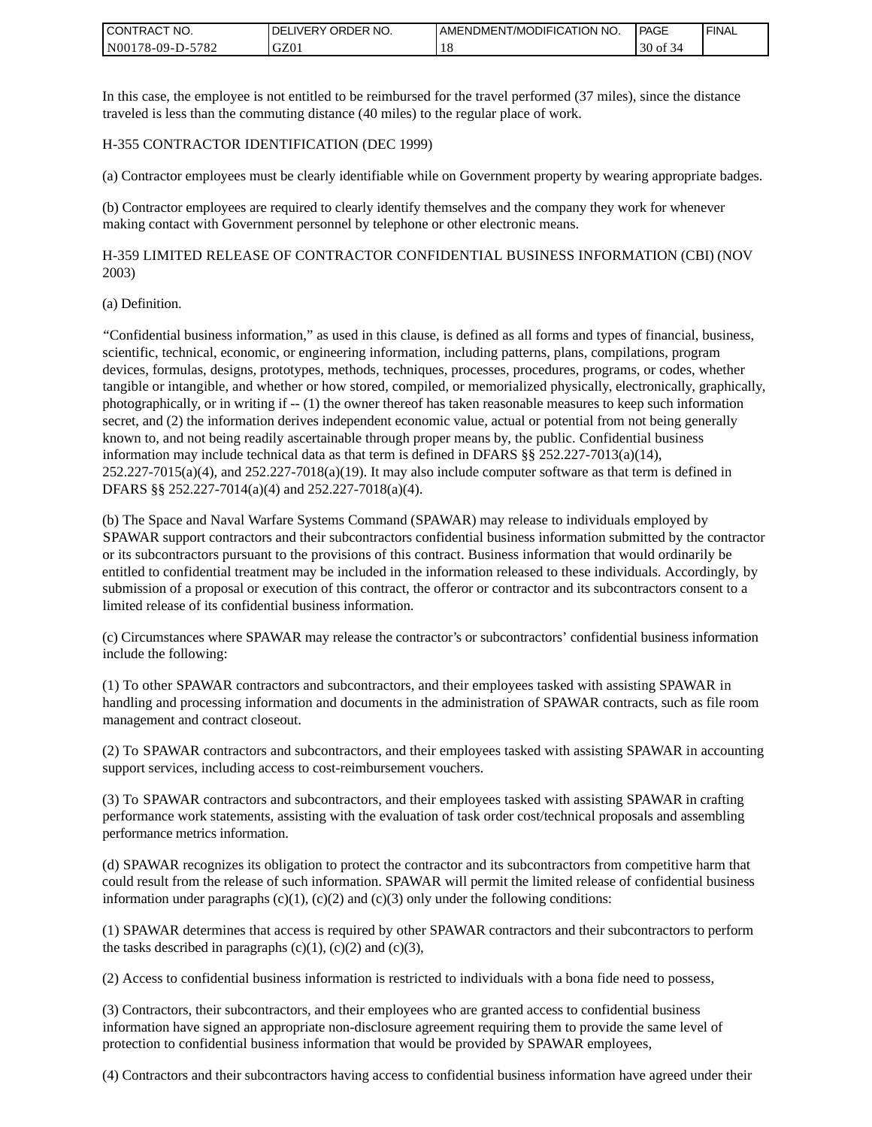| <b>I CONTRACT NO.</b>       | NO.<br><b>IVERY ORDER</b><br>DEL. | AMENDMENT/MODIFICATION NO. | PAGE                   | <b>I FINAL</b> |
|-----------------------------|-----------------------------------|----------------------------|------------------------|----------------|
| 5782<br>N001<br>$78-09-D$ - | GZ01                              | 1 O                        | 30 <sub>of</sub><br>۰Δ |                |

In this case, the employee is not entitled to be reimbursed for the travel performed (37 miles), since the distance traveled is less than the commuting distance (40 miles) to the regular place of work.

#### H-355 CONTRACTOR IDENTIFICATION (DEC 1999)

(a) Contractor employees must be clearly identifiable while on Government property by wearing appropriate badges.

(b) Contractor employees are required to clearly identify themselves and the company they work for whenever making contact with Government personnel by telephone or other electronic means.

H-359 LIMITED RELEASE OF CONTRACTOR CONFIDENTIAL BUSINESS INFORMATION (CBI) (NOV 2003)

#### (a) Definition.

"Confidential business information," as used in this clause, is defined as all forms and types of financial, business, scientific, technical, economic, or engineering information, including patterns, plans, compilations, program devices, formulas, designs, prototypes, methods, techniques, processes, procedures, programs, or codes, whether tangible or intangible, and whether or how stored, compiled, or memorialized physically, electronically, graphically, photographically, or in writing if -- (1) the owner thereof has taken reasonable measures to keep such information secret, and (2) the information derives independent economic value, actual or potential from not being generally known to, and not being readily ascertainable through proper means by, the public. Confidential business information may include technical data as that term is defined in DFARS  $\S$ § 252.227-7013(a)(14),  $252.227-7015(a)(4)$ , and  $252.227-7018(a)(19)$ . It may also include computer software as that term is defined in DFARS §§ 252.227-7014(a)(4) and 252.227-7018(a)(4).

(b) The Space and Naval Warfare Systems Command (SPAWAR) may release to individuals employed by SPAWAR support contractors and their subcontractors confidential business information submitted by the contractor or its subcontractors pursuant to the provisions of this contract. Business information that would ordinarily be entitled to confidential treatment may be included in the information released to these individuals. Accordingly, by submission of a proposal or execution of this contract, the offeror or contractor and its subcontractors consent to a limited release of its confidential business information.

(c) Circumstances where SPAWAR may release the contractor's or subcontractors' confidential business information include the following:

(1) To other SPAWAR contractors and subcontractors, and their employees tasked with assisting SPAWAR in handling and processing information and documents in the administration of SPAWAR contracts, such as file room management and contract closeout.

(2) To SPAWAR contractors and subcontractors, and their employees tasked with assisting SPAWAR in accounting support services, including access to cost-reimbursement vouchers.

(3) To SPAWAR contractors and subcontractors, and their employees tasked with assisting SPAWAR in crafting performance work statements, assisting with the evaluation of task order cost/technical proposals and assembling performance metrics information.

(d) SPAWAR recognizes its obligation to protect the contractor and its subcontractors from competitive harm that could result from the release of such information. SPAWAR will permit the limited release of confidential business information under paragraphs  $(c)(1)$ ,  $(c)(2)$  and  $(c)(3)$  only under the following conditions:

(1) SPAWAR determines that access is required by other SPAWAR contractors and their subcontractors to perform the tasks described in paragraphs  $(c)(1)$ ,  $(c)(2)$  and  $(c)(3)$ ,

(2) Access to confidential business information is restricted to individuals with a bona fide need to possess,

(3) Contractors, their subcontractors, and their employees who are granted access to confidential business information have signed an appropriate non-disclosure agreement requiring them to provide the same level of protection to confidential business information that would be provided by SPAWAR employees,

(4) Contractors and their subcontractors having access to confidential business information have agreed under their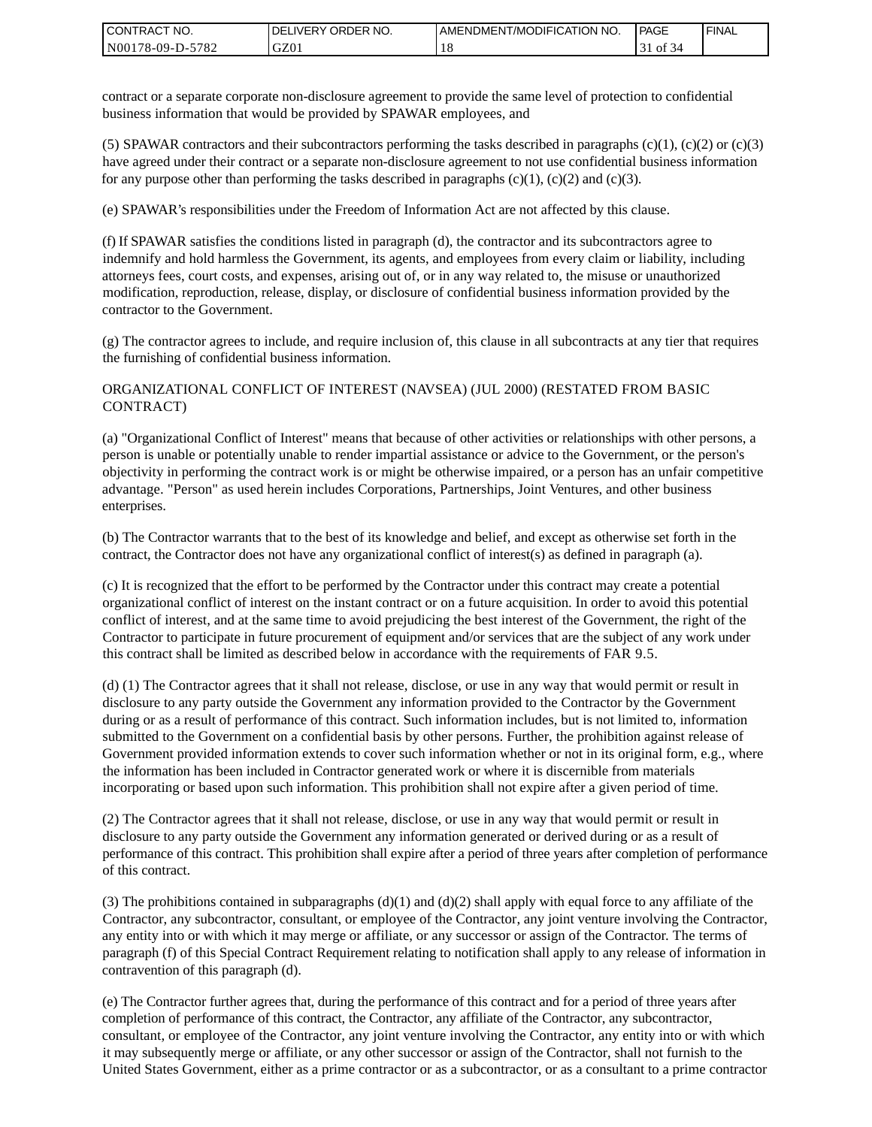| CONTRACT<br>CT NO.              | `NO.<br>' ORDER<br><b>DELIVERY</b> | AMENDMENT/MODIFICATION NO. | l PAGE | <b>FINAL</b> |
|---------------------------------|------------------------------------|----------------------------|--------|--------------|
| $-5782$<br>N001<br>$178-09-D$ - | GZ01                               | 1 O                        | ΟĪ     |              |

contract or a separate corporate non-disclosure agreement to provide the same level of protection to confidential business information that would be provided by SPAWAR employees, and

(5) SPAWAR contractors and their subcontractors performing the tasks described in paragraphs  $(c)(1)$ ,  $(c)(2)$  or  $(c)(3)$ have agreed under their contract or a separate non-disclosure agreement to not use confidential business information for any purpose other than performing the tasks described in paragraphs  $(c)(1)$ ,  $(c)(2)$  and  $(c)(3)$ .

(e) SPAWAR's responsibilities under the Freedom of Information Act are not affected by this clause.

(f) If SPAWAR satisfies the conditions listed in paragraph (d), the contractor and its subcontractors agree to indemnify and hold harmless the Government, its agents, and employees from every claim or liability, including attorneys fees, court costs, and expenses, arising out of, or in any way related to, the misuse or unauthorized modification, reproduction, release, display, or disclosure of confidential business information provided by the contractor to the Government.

(g) The contractor agrees to include, and require inclusion of, this clause in all subcontracts at any tier that requires the furnishing of confidential business information.

#### ORGANIZATIONAL CONFLICT OF INTEREST (NAVSEA) (JUL 2000) (RESTATED FROM BASIC CONTRACT)

(a) "Organizational Conflict of Interest" means that because of other activities or relationships with other persons, a person is unable or potentially unable to render impartial assistance or advice to the Government, or the person's objectivity in performing the contract work is or might be otherwise impaired, or a person has an unfair competitive advantage. "Person" as used herein includes Corporations, Partnerships, Joint Ventures, and other business enterprises.

(b) The Contractor warrants that to the best of its knowledge and belief, and except as otherwise set forth in the contract, the Contractor does not have any organizational conflict of interest(s) as defined in paragraph (a).

(c) It is recognized that the effort to be performed by the Contractor under this contract may create a potential organizational conflict of interest on the instant contract or on a future acquisition. In order to avoid this potential conflict of interest, and at the same time to avoid prejudicing the best interest of the Government, the right of the Contractor to participate in future procurement of equipment and/or services that are the subject of any work under this contract shall be limited as described below in accordance with the requirements of FAR 9.5.

(d) (1) The Contractor agrees that it shall not release, disclose, or use in any way that would permit or result in disclosure to any party outside the Government any information provided to the Contractor by the Government during or as a result of performance of this contract. Such information includes, but is not limited to, information submitted to the Government on a confidential basis by other persons. Further, the prohibition against release of Government provided information extends to cover such information whether or not in its original form, e.g., where the information has been included in Contractor generated work or where it is discernible from materials incorporating or based upon such information. This prohibition shall not expire after a given period of time.

(2) The Contractor agrees that it shall not release, disclose, or use in any way that would permit or result in disclosure to any party outside the Government any information generated or derived during or as a result of performance of this contract. This prohibition shall expire after a period of three years after completion of performance of this contract.

(3) The prohibitions contained in subparagraphs  $(d)(1)$  and  $(d)(2)$  shall apply with equal force to any affiliate of the Contractor, any subcontractor, consultant, or employee of the Contractor, any joint venture involving the Contractor, any entity into or with which it may merge or affiliate, or any successor or assign of the Contractor. The terms of paragraph (f) of this Special Contract Requirement relating to notification shall apply to any release of information in contravention of this paragraph (d).

(e) The Contractor further agrees that, during the performance of this contract and for a period of three years after completion of performance of this contract, the Contractor, any affiliate of the Contractor, any subcontractor, consultant, or employee of the Contractor, any joint venture involving the Contractor, any entity into or with which it may subsequently merge or affiliate, or any other successor or assign of the Contractor, shall not furnish to the United States Government, either as a prime contractor or as a subcontractor, or as a consultant to a prime contractor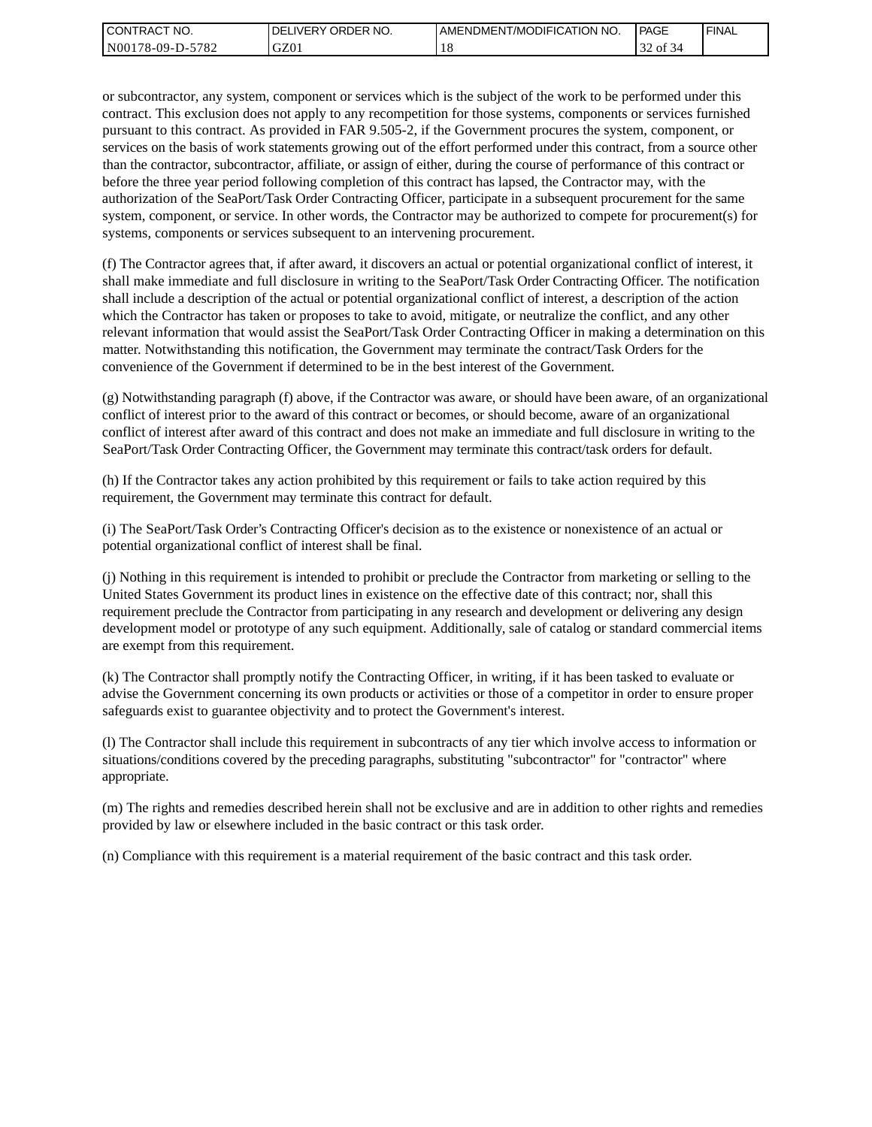| I CONTRACT NO.   | <b>IDELIVERY ORDER NO.</b> | AMENDMENT/MODIFICATION NO. | PAGE                | 'FINAL |
|------------------|----------------------------|----------------------------|---------------------|--------|
| N00178-09-D-5782 | GZ01                       |                            | $\sim$<br>ΟĪ<br>-54 |        |

or subcontractor, any system, component or services which is the subject of the work to be performed under this contract. This exclusion does not apply to any recompetition for those systems, components or services furnished pursuant to this contract. As provided in FAR 9.505-2, if the Government procures the system, component, or services on the basis of work statements growing out of the effort performed under this contract, from a source other than the contractor, subcontractor, affiliate, or assign of either, during the course of performance of this contract or before the three year period following completion of this contract has lapsed, the Contractor may, with the authorization of the SeaPort/Task Order Contracting Officer, participate in a subsequent procurement for the same system, component, or service. In other words, the Contractor may be authorized to compete for procurement(s) for systems, components or services subsequent to an intervening procurement.

(f) The Contractor agrees that, if after award, it discovers an actual or potential organizational conflict of interest, it shall make immediate and full disclosure in writing to the SeaPort/Task Order Contracting Officer. The notification shall include a description of the actual or potential organizational conflict of interest, a description of the action which the Contractor has taken or proposes to take to avoid, mitigate, or neutralize the conflict, and any other relevant information that would assist the SeaPort/Task Order Contracting Officer in making a determination on this matter. Notwithstanding this notification, the Government may terminate the contract/Task Orders for the convenience of the Government if determined to be in the best interest of the Government.

(g) Notwithstanding paragraph (f) above, if the Contractor was aware, or should have been aware, of an organizational conflict of interest prior to the award of this contract or becomes, or should become, aware of an organizational conflict of interest after award of this contract and does not make an immediate and full disclosure in writing to the SeaPort/Task Order Contracting Officer, the Government may terminate this contract/task orders for default.

(h) If the Contractor takes any action prohibited by this requirement or fails to take action required by this requirement, the Government may terminate this contract for default.

(i) The SeaPort/Task Order's Contracting Officer's decision as to the existence or nonexistence of an actual or potential organizational conflict of interest shall be final.

(j) Nothing in this requirement is intended to prohibit or preclude the Contractor from marketing or selling to the United States Government its product lines in existence on the effective date of this contract; nor, shall this requirement preclude the Contractor from participating in any research and development or delivering any design development model or prototype of any such equipment. Additionally, sale of catalog or standard commercial items are exempt from this requirement.

(k) The Contractor shall promptly notify the Contracting Officer, in writing, if it has been tasked to evaluate or advise the Government concerning its own products or activities or those of a competitor in order to ensure proper safeguards exist to guarantee objectivity and to protect the Government's interest.

(l) The Contractor shall include this requirement in subcontracts of any tier which involve access to information or situations/conditions covered by the preceding paragraphs, substituting "subcontractor" for "contractor" where appropriate.

(m) The rights and remedies described herein shall not be exclusive and are in addition to other rights and remedies provided by law or elsewhere included in the basic contract or this task order.

(n) Compliance with this requirement is a material requirement of the basic contract and this task order.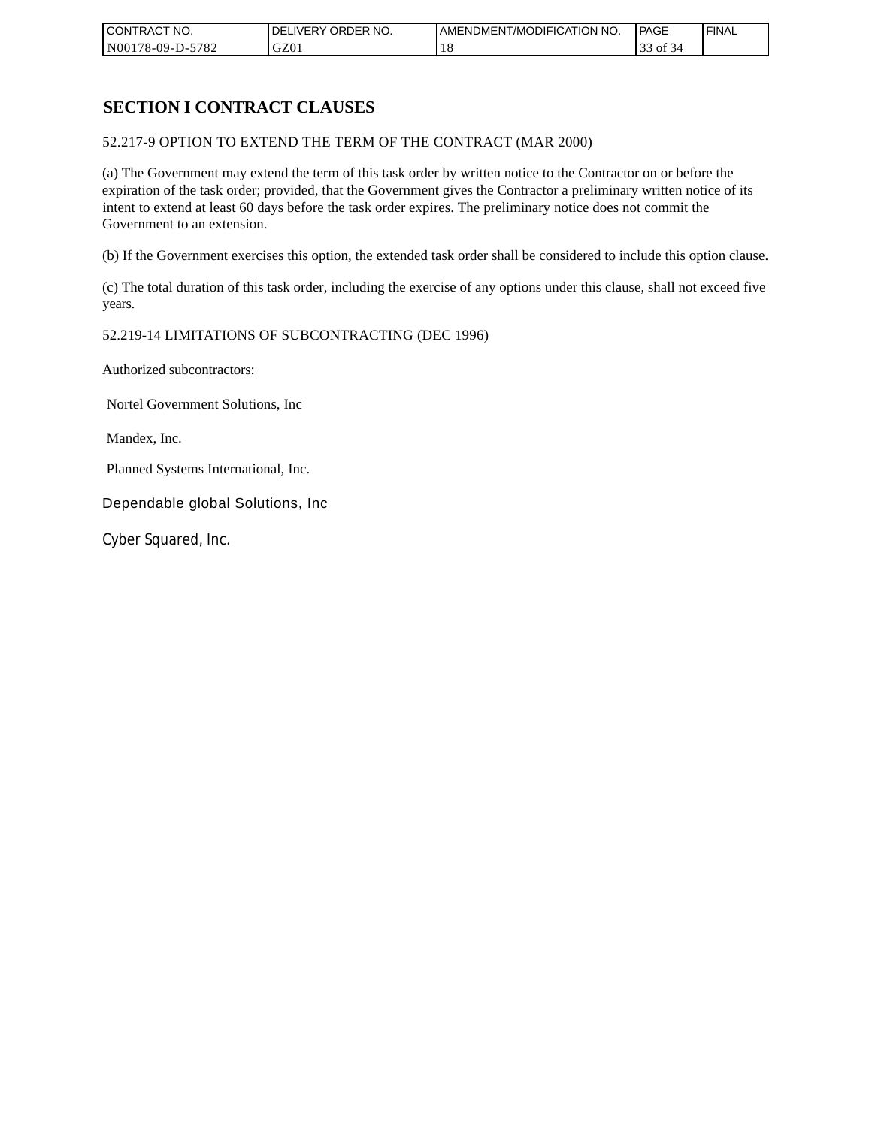| CONTRACT NO.     | `NO.<br><b>DELIVERY ORDER</b> | AMENDMENT/MODIFICATION<br>' NO. | PAGE | 'FINAL |
|------------------|-------------------------------|---------------------------------|------|--------|
| N00178-09-D-5782 | GZ01                          |                                 | οt   |        |

# **SECTION I CONTRACT CLAUSES**

52.217-9 OPTION TO EXTEND THE TERM OF THE CONTRACT (MAR 2000)

(a) The Government may extend the term of this task order by written notice to the Contractor on or before the expiration of the task order; provided, that the Government gives the Contractor a preliminary written notice of its intent to extend at least 60 days before the task order expires. The preliminary notice does not commit the Government to an extension.

(b) If the Government exercises this option, the extended task order shall be considered to include this option clause.

(c) The total duration of this task order, including the exercise of any options under this clause, shall not exceed five years.

#### 52.219-14 LIMITATIONS OF SUBCONTRACTING (DEC 1996)

Authorized subcontractors:

Nortel Government Solutions, Inc

Mandex, Inc.

Planned Systems International, Inc.

Dependable global Solutions, Inc

Cyber Squared, Inc.